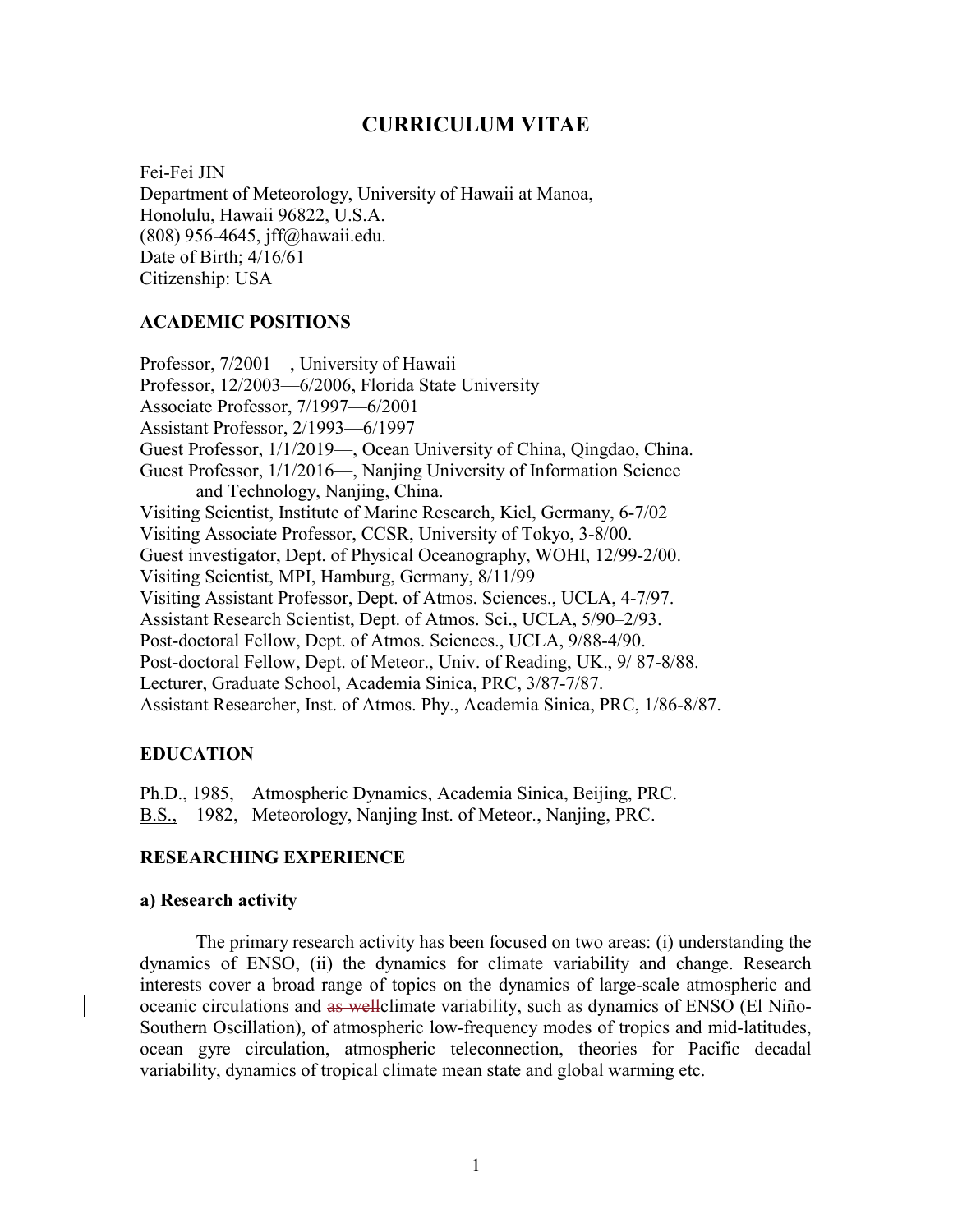# CURRICULUM VITAE

Fei-Fei JIN Department of Meteorology, University of Hawaii at Manoa, Honolulu, Hawaii 96822, U.S.A. (808) 956-4645, jff@hawaii.edu. Date of Birth; 4/16/61 Citizenship: USA

## ACADEMIC POSITIONS

Professor, 7/2001—, University of Hawaii Professor, 12/2003—6/2006, Florida State University Associate Professor, 7/1997—6/2001 Assistant Professor, 2/1993—6/1997 Guest Professor, 1/1/2019—, Ocean University of China, Qingdao, China. Guest Professor, 1/1/2016—, Nanjing University of Information Science and Technology, Nanjing, China. Visiting Scientist, Institute of Marine Research, Kiel, Germany, 6-7/02 Visiting Associate Professor, CCSR, University of Tokyo, 3-8/00. Guest investigator, Dept. of Physical Oceanography, WOHI, 12/99-2/00. Visiting Scientist, MPI, Hamburg, Germany, 8/11/99 Visiting Assistant Professor, Dept. of Atmos. Sciences., UCLA, 4-7/97. Assistant Research Scientist, Dept. of Atmos. Sci., UCLA, 5/90–2/93. Post-doctoral Fellow, Dept. of Atmos. Sciences., UCLA, 9/88-4/90. Post-doctoral Fellow, Dept. of Meteor., Univ. of Reading, UK., 9/ 87-8/88. Lecturer, Graduate School, Academia Sinica, PRC, 3/87-7/87. Assistant Researcher, Inst. of Atmos. Phy., Academia Sinica, PRC, 1/86-8/87.

#### EDUCATION

Ph.D., 1985, Atmospheric Dynamics, Academia Sinica, Beijing, PRC. B.S., 1982, Meteorology, Nanjing Inst. of Meteor., Nanjing, PRC.

#### RESEARCHING EXPERIENCE

#### a) Research activity

The primary research activity has been focused on two areas: (i) understanding the dynamics of ENSO, (ii) the dynamics for climate variability and change. Research interests cover a broad range of topics on the dynamics of large-scale atmospheric and oceanic circulations and as wellclimate variability, such as dynamics of ENSO (El Niño-Southern Oscillation), of atmospheric low-frequency modes of tropics and mid-latitudes, ocean gyre circulation, atmospheric teleconnection, theories for Pacific decadal variability, dynamics of tropical climate mean state and global warming etc.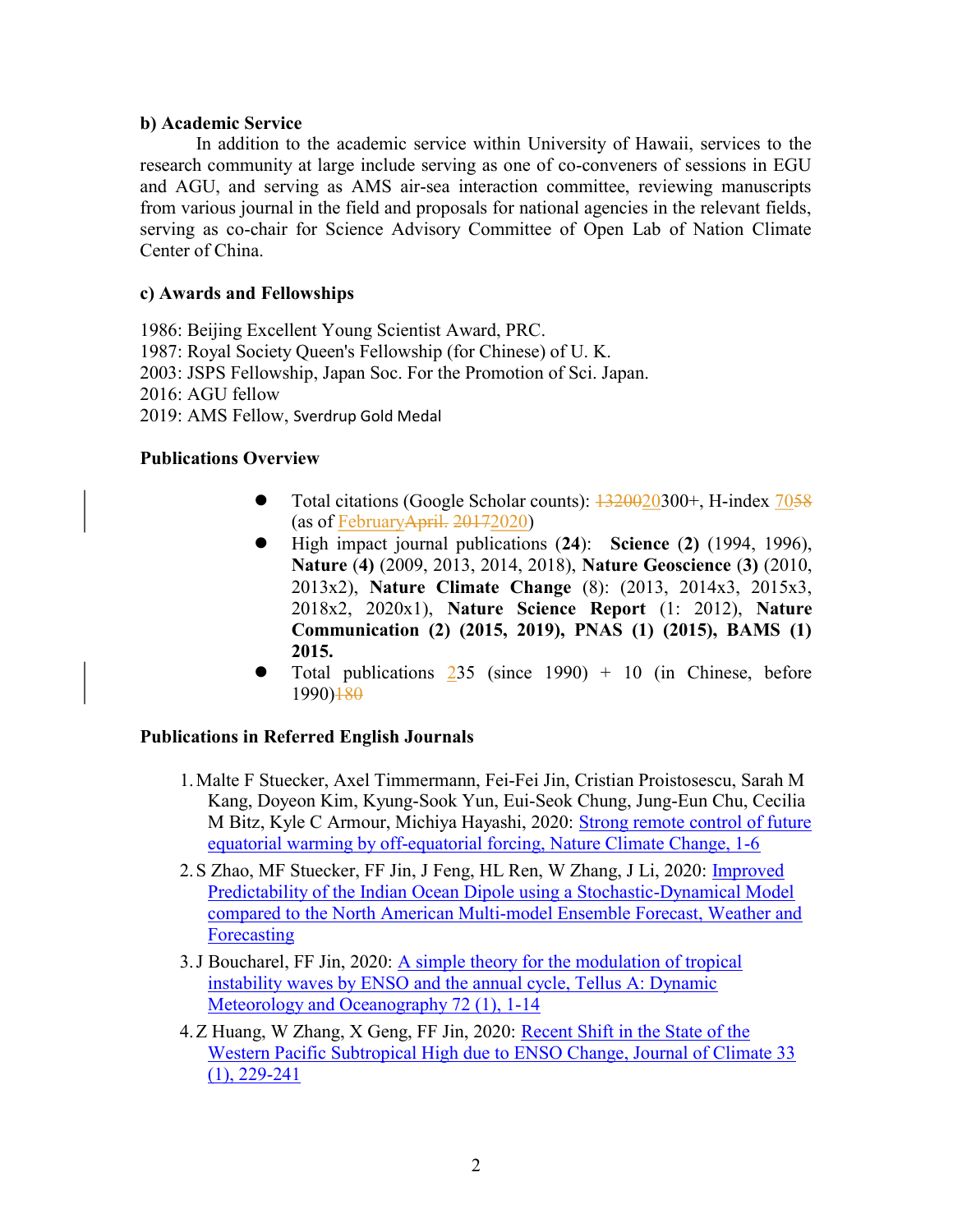### b) Academic Service

 In addition to the academic service within University of Hawaii, services to the research community at large include serving as one of co-conveners of sessions in EGU and AGU, and serving as AMS air-sea interaction committee, reviewing manuscripts from various journal in the field and proposals for national agencies in the relevant fields, serving as co-chair for Science Advisory Committee of Open Lab of Nation Climate Center of China.

# c) Awards and Fellowships

1986: Beijing Excellent Young Scientist Award, PRC. 1987: Royal Society Queen's Fellowship (for Chinese) of U. K. 2003: JSPS Fellowship, Japan Soc. For the Promotion of Sci. Japan. 2016: AGU fellow 2019: AMS Fellow, Sverdrup Gold Medal

# Publications Overview

- Total citations (Google Scholar counts): 1320020300+, H-index 7058 (as of FebruaryApril. 20172020)
- High impact journal publications (24): Science (2) (1994, 1996), Nature (4) (2009, 2013, 2014, 2018), Nature Geoscience (3) (2010, 2013x2), Nature Climate Change (8): (2013, 2014x3, 2015x3, 2018x2, 2020x1), Nature Science Report (1: 2012), Nature Communication (2) (2015, 2019), PNAS (1) (2015), BAMS (1) 2015.
- Total publications  $235$  (since 1990) + 10 (in Chinese, before 1990)180

# Publications in Referred English Journals

- 1.Malte F Stuecker, Axel Timmermann, Fei-Fei Jin, Cristian Proistosescu, Sarah M Kang, Doyeon Kim, Kyung-Sook Yun, Eui-Seok Chung, Jung-Eun Chu, Cecilia M Bitz, Kyle C Armour, Michiya Hayashi, 2020: Strong remote control of future equatorial warming by off-equatorial forcing, Nature Climate Change, 1-6
- 2. S Zhao, MF Stuecker, FF Jin, J Feng, HL Ren, W Zhang, J Li, 2020: *Improved* Predictability of the Indian Ocean Dipole using a Stochastic-Dynamical Model compared to the North American Multi-model Ensemble Forecast, Weather and Forecasting
- 3.J Boucharel, FF Jin, 2020: A simple theory for the modulation of tropical instability waves by ENSO and the annual cycle, Tellus A: Dynamic Meteorology and Oceanography 72 (1), 1-14
- 4.Z Huang, W Zhang, X Geng, FF Jin, 2020: Recent Shift in the State of the Western Pacific Subtropical High due to ENSO Change, Journal of Climate 33 (1), 229-241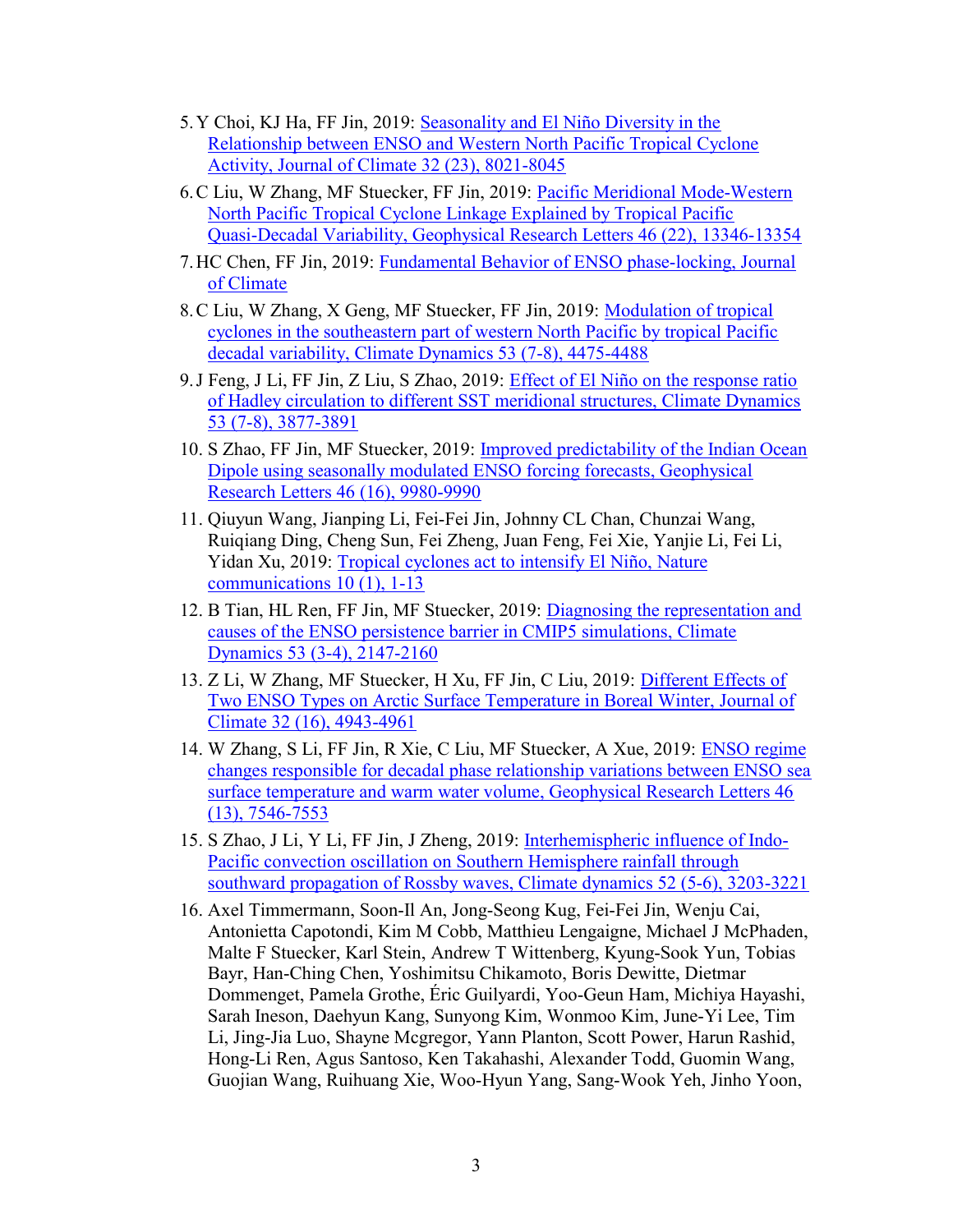- 5.Y Choi, KJ Ha, FF Jin, 2019: Seasonality and El Niño Diversity in the Relationship between ENSO and Western North Pacific Tropical Cyclone Activity, Journal of Climate 32 (23), 8021-8045
- 6.C Liu, W Zhang, MF Stuecker, FF Jin, 2019: Pacific Meridional Mode‐Western North Pacific Tropical Cyclone Linkage Explained by Tropical Pacific Quasi‐Decadal Variability, Geophysical Research Letters 46 (22), 13346-13354
- 7.HC Chen, FF Jin, 2019: Fundamental Behavior of ENSO phase-locking, Journal of Climate
- 8.C Liu, W Zhang, X Geng, MF Stuecker, FF Jin, 2019: Modulation of tropical cyclones in the southeastern part of western North Pacific by tropical Pacific decadal variability, Climate Dynamics 53 (7-8), 4475-4488
- 9.J Feng, J Li, FF Jin, Z Liu, S Zhao, 2019: Effect of El Niño on the response ratio of Hadley circulation to different SST meridional structures, Climate Dynamics 53 (7-8), 3877-3891
- 10. S Zhao, FF Jin, MF Stuecker, 2019: Improved predictability of the Indian Ocean Dipole using seasonally modulated ENSO forcing forecasts, Geophysical Research Letters 46 (16), 9980-9990
- 11. Qiuyun Wang, Jianping Li, Fei-Fei Jin, Johnny CL Chan, Chunzai Wang, Ruiqiang Ding, Cheng Sun, Fei Zheng, Juan Feng, Fei Xie, Yanjie Li, Fei Li, Yidan Xu, 2019: Tropical cyclones act to intensify El Niño, Nature communications 10 (1), 1-13
- 12. B Tian, HL Ren, FF Jin, MF Stuecker, 2019: Diagnosing the representation and causes of the ENSO persistence barrier in CMIP5 simulations, Climate Dynamics 53 (3-4), 2147-2160
- 13. Z Li, W Zhang, MF Stuecker, H Xu, FF Jin, C Liu, 2019: Different Effects of Two ENSO Types on Arctic Surface Temperature in Boreal Winter, Journal of Climate 32 (16), 4943-4961
- 14. W Zhang, S Li, FF Jin, R Xie, C Liu, MF Stuecker, A Xue, 2019: ENSO regime changes responsible for decadal phase relationship variations between ENSO sea surface temperature and warm water volume, Geophysical Research Letters 46 (13), 7546-7553
- 15. S Zhao, J Li, Y Li, FF Jin, J Zheng, 2019: Interhemispheric influence of Indo-Pacific convection oscillation on Southern Hemisphere rainfall through southward propagation of Rossby waves, Climate dynamics 52 (5-6), 3203-3221
- 16. Axel Timmermann, Soon-Il An, Jong-Seong Kug, Fei-Fei Jin, Wenju Cai, Antonietta Capotondi, Kim M Cobb, Matthieu Lengaigne, Michael J McPhaden, Malte F Stuecker, Karl Stein, Andrew T Wittenberg, Kyung-Sook Yun, Tobias Bayr, Han-Ching Chen, Yoshimitsu Chikamoto, Boris Dewitte, Dietmar Dommenget, Pamela Grothe, Éric Guilyardi, Yoo-Geun Ham, Michiya Hayashi, Sarah Ineson, Daehyun Kang, Sunyong Kim, Wonmoo Kim, June-Yi Lee, Tim Li, Jing-Jia Luo, Shayne Mcgregor, Yann Planton, Scott Power, Harun Rashid, Hong-Li Ren, Agus Santoso, Ken Takahashi, Alexander Todd, Guomin Wang, Guojian Wang, Ruihuang Xie, Woo-Hyun Yang, Sang-Wook Yeh, Jinho Yoon,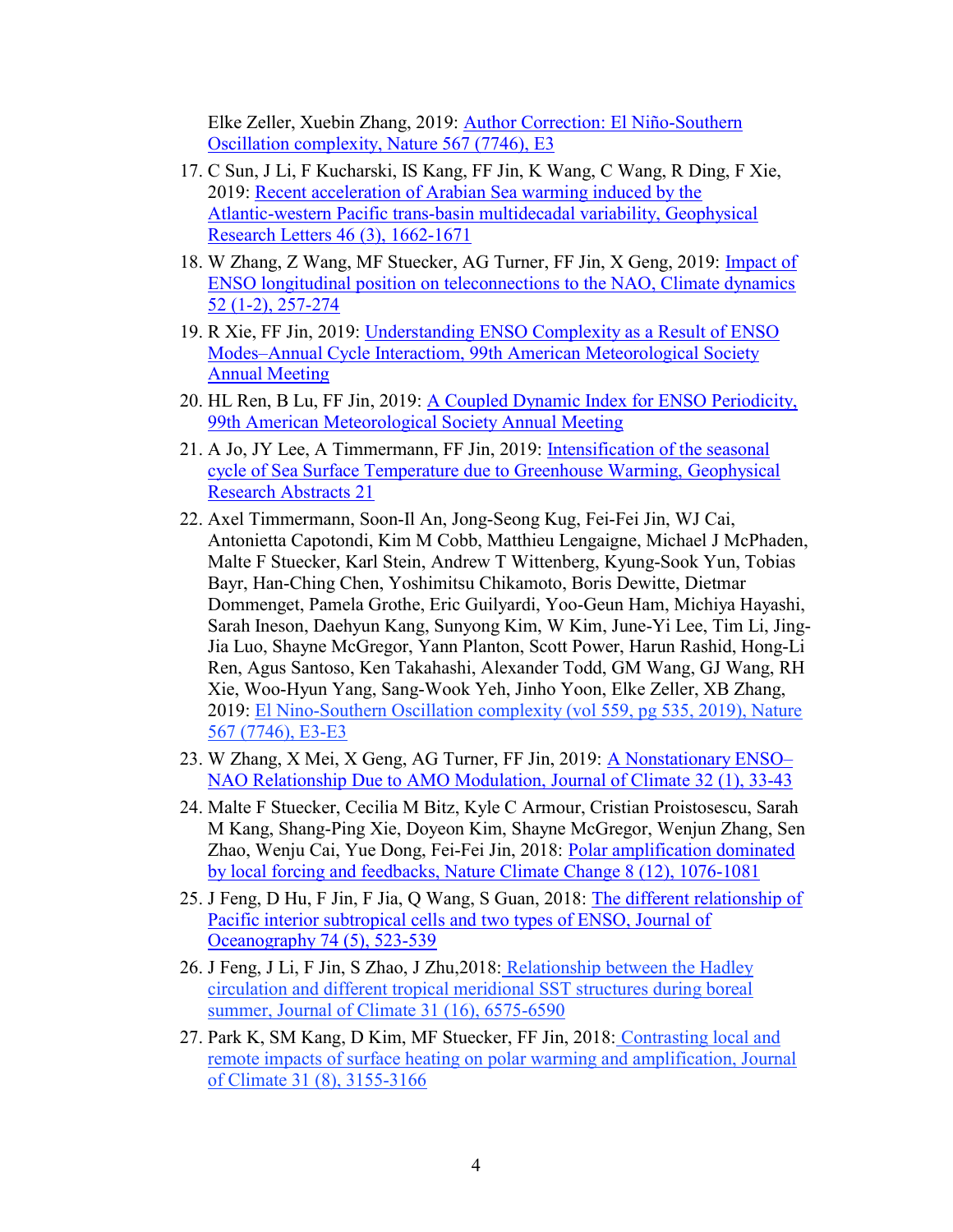Elke Zeller, Xuebin Zhang, 2019: Author Correction: El Niño-Southern Oscillation complexity, Nature 567 (7746), E3

- 17. C Sun, J Li, F Kucharski, IS Kang, FF Jin, K Wang, C Wang, R Ding, F Xie, 2019: Recent acceleration of Arabian Sea warming induced by the Atlantic‐western Pacific trans‐basin multidecadal variability, Geophysical Research Letters 46 (3), 1662-1671
- 18. W Zhang, Z Wang, MF Stuecker, AG Turner, FF Jin, X Geng, 2019: Impact of ENSO longitudinal position on teleconnections to the NAO, Climate dynamics 52 (1-2), 257-274
- 19. R Xie, FF Jin, 2019: Understanding ENSO Complexity as a Result of ENSO Modes–Annual Cycle Interactiom, 99th American Meteorological Society Annual Meeting
- 20. HL Ren, B Lu, FF Jin, 2019: A Coupled Dynamic Index for ENSO Periodicity, 99th American Meteorological Society Annual Meeting
- 21. A Jo, JY Lee, A Timmermann, FF Jin, 2019: Intensification of the seasonal cycle of Sea Surface Temperature due to Greenhouse Warming, Geophysical Research Abstracts 21
- 22. Axel Timmermann, Soon-Il An, Jong-Seong Kug, Fei-Fei Jin, WJ Cai, Antonietta Capotondi, Kim M Cobb, Matthieu Lengaigne, Michael J McPhaden, Malte F Stuecker, Karl Stein, Andrew T Wittenberg, Kyung-Sook Yun, Tobias Bayr, Han-Ching Chen, Yoshimitsu Chikamoto, Boris Dewitte, Dietmar Dommenget, Pamela Grothe, Eric Guilyardi, Yoo-Geun Ham, Michiya Hayashi, Sarah Ineson, Daehyun Kang, Sunyong Kim, W Kim, June-Yi Lee, Tim Li, Jing-Jia Luo, Shayne McGregor, Yann Planton, Scott Power, Harun Rashid, Hong-Li Ren, Agus Santoso, Ken Takahashi, Alexander Todd, GM Wang, GJ Wang, RH Xie, Woo-Hyun Yang, Sang-Wook Yeh, Jinho Yoon, Elke Zeller, XB Zhang, 2019: El Nino-Southern Oscillation complexity (vol 559, pg 535, 2019), Nature 567 (7746), E3-E3
- 23. W Zhang, X Mei, X Geng, AG Turner, FF Jin, 2019: A Nonstationary ENSO– NAO Relationship Due to AMO Modulation, Journal of Climate 32 (1), 33-43
- 24. Malte F Stuecker, Cecilia M Bitz, Kyle C Armour, Cristian Proistosescu, Sarah M Kang, Shang-Ping Xie, Doyeon Kim, Shayne McGregor, Wenjun Zhang, Sen Zhao, Wenju Cai, Yue Dong, Fei-Fei Jin, 2018: Polar amplification dominated by local forcing and feedbacks, Nature Climate Change 8 (12), 1076-1081
- 25. J Feng, D Hu, F Jin, F Jia, Q Wang, S Guan, 2018: The different relationship of Pacific interior subtropical cells and two types of ENSO, Journal of Oceanography 74 (5), 523-539
- 26. J Feng, J Li, F Jin, S Zhao, J Zhu,2018: Relationship between the Hadley circulation and different tropical meridional SST structures during boreal summer, Journal of Climate 31 (16), 6575-6590
- 27. Park K, SM Kang, D Kim, MF Stuecker, FF Jin, 2018: Contrasting local and remote impacts of surface heating on polar warming and amplification, Journal of Climate 31 (8), 3155-3166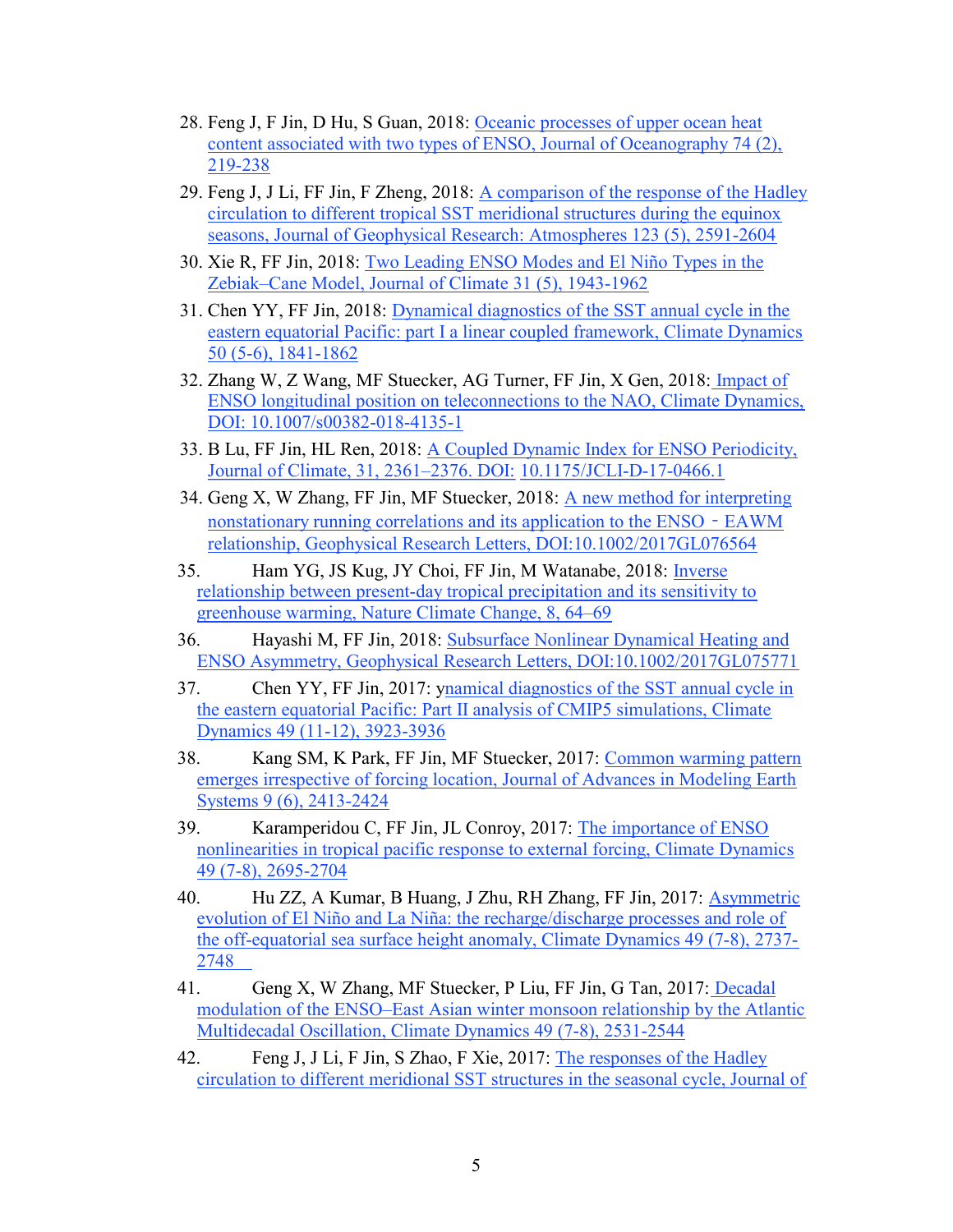- 28. Feng J, F Jin, D Hu, S Guan, 2018: Oceanic processes of upper ocean heat content associated with two types of ENSO, Journal of Oceanography 74 (2), 219-238
- 29. Feng J, J Li, FF Jin, F Zheng, 2018: A comparison of the response of the Hadley circulation to different tropical SST meridional structures during the equinox seasons, Journal of Geophysical Research: Atmospheres 123 (5), 2591-2604
- 30. Xie R, FF Jin, 2018: Two Leading ENSO Modes and El Niño Types in the Zebiak–Cane Model, Journal of Climate 31 (5), 1943-1962
- 31. Chen YY, FF Jin, 2018: Dynamical diagnostics of the SST annual cycle in the eastern equatorial Pacific: part I a linear coupled framework, Climate Dynamics 50 (5-6), 1841-1862
- 32. Zhang W, Z Wang, MF Stuecker, AG Turner, FF Jin, X Gen, 2018: Impact of ENSO longitudinal position on teleconnections to the NAO, Climate Dynamics, DOI: 10.1007/s00382-018-4135-1
- 33. B Lu, FF Jin, HL Ren, 2018: A Coupled Dynamic Index for ENSO Periodicity, Journal of Climate, 31, 2361–2376. DOI: 10.1175/JCLI-D-17-0466.1
- 34. Geng X, W Zhang, FF Jin, MF Stuecker, 2018: A new method for interpreting nonstationary running correlations and its application to the ENSO - EAWM relationship, Geophysical Research Letters, DOI:10.1002/2017GL076564
- 35. Ham YG, JS Kug, JY Choi, FF Jin, M Watanabe, 2018: Inverse relationship between present-day tropical precipitation and its sensitivity to greenhouse warming, Nature Climate Change, 8, 64–69
- 36. Hayashi M, FF Jin, 2018: Subsurface Nonlinear Dynamical Heating and ENSO Asymmetry, Geophysical Research Letters, DOI:10.1002/2017GL075771
- 37. Chen YY, FF Jin, 2017: ynamical diagnostics of the SST annual cycle in the eastern equatorial Pacific: Part II analysis of CMIP5 simulations, Climate Dynamics 49 (11-12), 3923-3936
- 38. Kang SM, K Park, FF Jin, MF Stuecker, 2017: Common warming pattern emerges irrespective of forcing location, Journal of Advances in Modeling Earth Systems 9 (6), 2413-2424
- 39. Karamperidou C, FF Jin, JL Conroy, 2017: The importance of ENSO nonlinearities in tropical pacific response to external forcing, Climate Dynamics 49 (7-8), 2695-2704
- 40. Hu ZZ, A Kumar, B Huang, J Zhu, RH Zhang, FF Jin, 2017: Asymmetric evolution of El Niño and La Niña: the recharge/discharge processes and role of the off-equatorial sea surface height anomaly, Climate Dynamics 49 (7-8), 2737- 2748
- 41. Geng X, W Zhang, MF Stuecker, P Liu, FF Jin, G Tan, 2017: Decadal modulation of the ENSO–East Asian winter monsoon relationship by the Atlantic Multidecadal Oscillation, Climate Dynamics 49 (7-8), 2531-2544
- 42. Feng J, J Li, F Jin, S Zhao, F Xie, 2017: The responses of the Hadley circulation to different meridional SST structures in the seasonal cycle, Journal of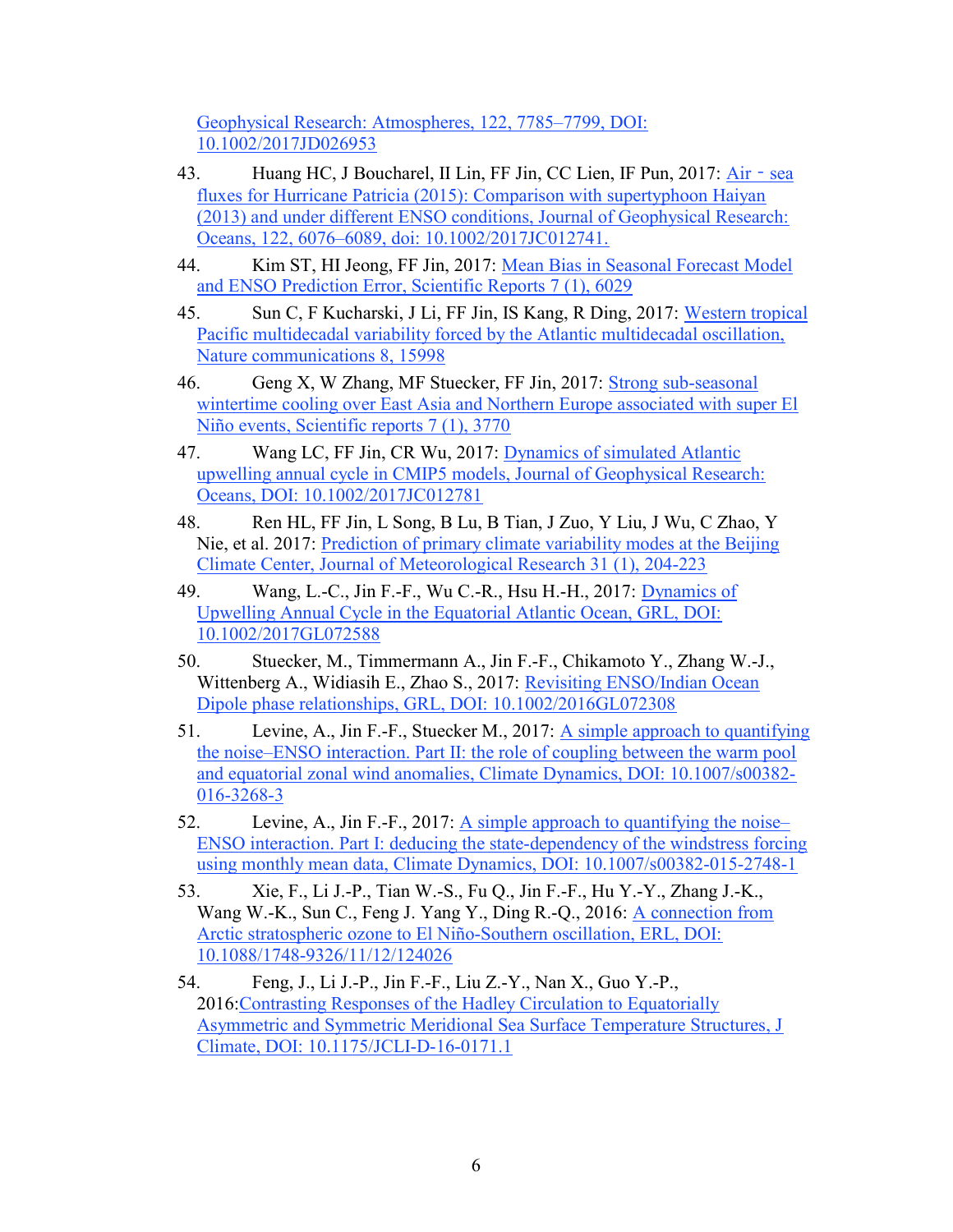Geophysical Research: Atmospheres, 122, 7785–7799, DOI: 10.1002/2017JD026953

- 43. Huang HC, J Boucharel, II Lin, FF Jin, CC Lien, IF Pun, 2017: Air sea fluxes for Hurricane Patricia (2015): Comparison with supertyphoon Haiyan (2013) and under different ENSO conditions, Journal of Geophysical Research: Oceans, 122, 6076–6089, doi: 10.1002/2017JC012741.
- 44. Kim ST, HI Jeong, FF Jin, 2017: Mean Bias in Seasonal Forecast Model and ENSO Prediction Error, Scientific Reports 7 (1), 6029
- 45. Sun C, F Kucharski, J Li, FF Jin, IS Kang, R Ding, 2017: Western tropical Pacific multidecadal variability forced by the Atlantic multidecadal oscillation, Nature communications 8, 15998
- 46. Geng X, W Zhang, MF Stuecker, FF Jin, 2017: Strong sub-seasonal wintertime cooling over East Asia and Northern Europe associated with super El Niño events, Scientific reports 7 (1), 3770
- 47. Wang LC, FF Jin, CR Wu, 2017: Dynamics of simulated Atlantic upwelling annual cycle in CMIP5 models, Journal of Geophysical Research: Oceans, DOI: 10.1002/2017JC012781
- 48. Ren HL, FF Jin, L Song, B Lu, B Tian, J Zuo, Y Liu, J Wu, C Zhao, Y Nie, et al. 2017: Prediction of primary climate variability modes at the Beijing Climate Center, Journal of Meteorological Research 31 (1), 204-223
- 49. Wang, L.-C., Jin F.-F., Wu C.-R., Hsu H.-H., 2017: Dynamics of Upwelling Annual Cycle in the Equatorial Atlantic Ocean, GRL, DOI: 10.1002/2017GL072588
- 50. Stuecker, M., Timmermann A., Jin F.-F., Chikamoto Y., Zhang W.-J., Wittenberg A., Widiasih E., Zhao S., 2017: Revisiting ENSO/Indian Ocean Dipole phase relationships, GRL, DOI: 10.1002/2016GL072308
- 51. Levine, A., Jin F.-F., Stuecker M., 2017: A simple approach to quantifying the noise–ENSO interaction. Part II: the role of coupling between the warm pool and equatorial zonal wind anomalies, Climate Dynamics, DOI: 10.1007/s00382- 016-3268-3
- 52. Levine, A., Jin F.-F., 2017: A simple approach to quantifying the noise– ENSO interaction. Part I: deducing the state-dependency of the windstress forcing using monthly mean data, Climate Dynamics, DOI: 10.1007/s00382-015-2748-1
- 53. Xie, F., Li J.-P., Tian W.-S., Fu Q., Jin F.-F., Hu Y.-Y., Zhang J.-K., Wang W.-K., Sun C., Feng J. Yang Y., Ding R.-Q., 2016: A connection from Arctic stratospheric ozone to El Niño-Southern oscillation, ERL, DOI: 10.1088/1748-9326/11/12/124026
- 54. Feng, J., Li J.-P., Jin F.-F., Liu Z.-Y., Nan X., Guo Y.-P., 2016:Contrasting Responses of the Hadley Circulation to Equatorially Asymmetric and Symmetric Meridional Sea Surface Temperature Structures, J Climate, DOI: 10.1175/JCLI-D-16-0171.1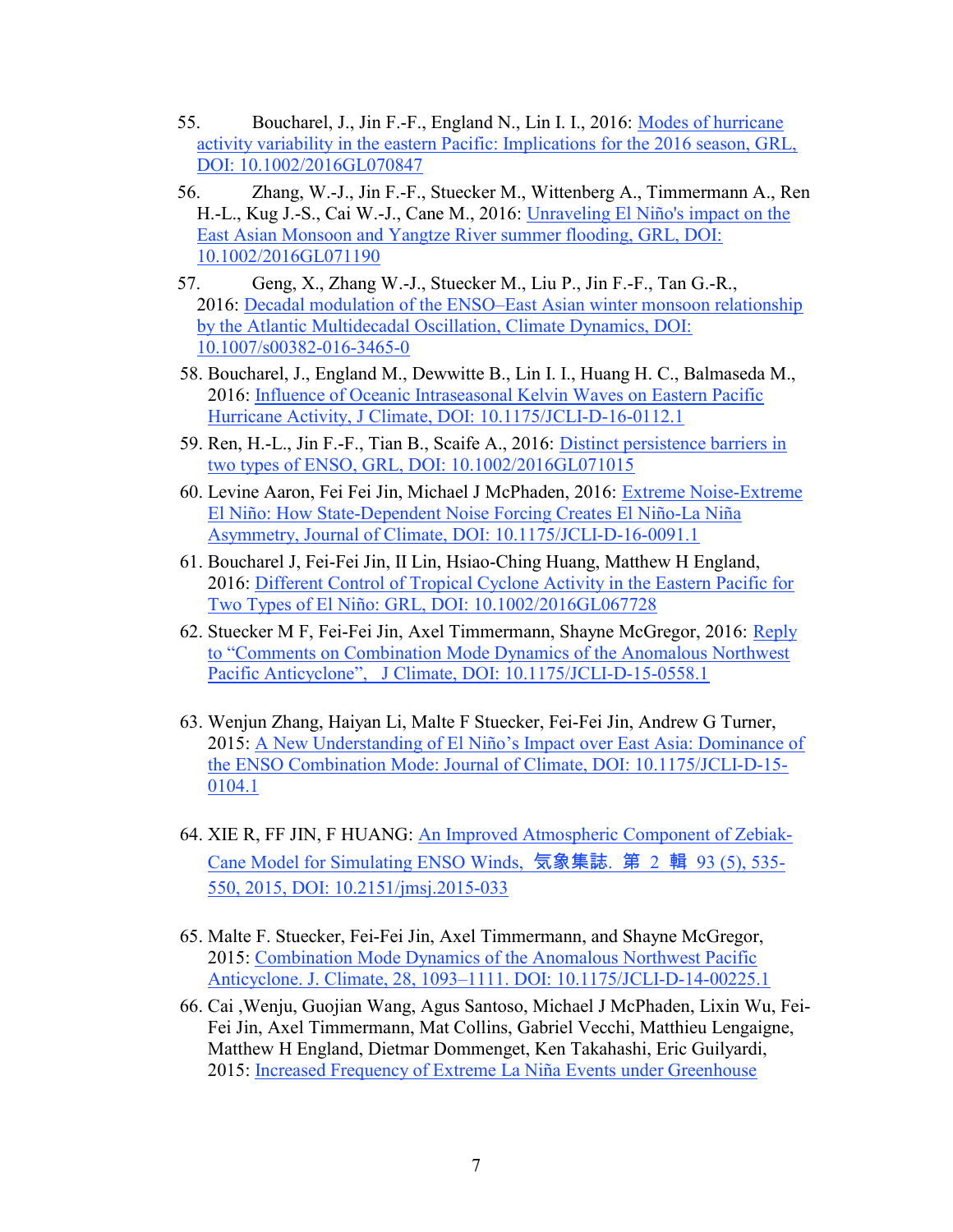- 55. Boucharel, J., Jin F.-F., England N., Lin I. I., 2016: Modes of hurricane activity variability in the eastern Pacific: Implications for the 2016 season, GRL, DOI: 10.1002/2016GL070847
- 56. Zhang, W.-J., Jin F.-F., Stuecker M., Wittenberg A., Timmermann A., Ren H.-L., Kug J.-S., Cai W.-J., Cane M., 2016: Unraveling El Niño's impact on the East Asian Monsoon and Yangtze River summer flooding, GRL, DOI: 10.1002/2016GL071190
- 57. Geng, X., Zhang W.-J., Stuecker M., Liu P., Jin F.-F., Tan G.-R., 2016: Decadal modulation of the ENSO–East Asian winter monsoon relationship by the Atlantic Multidecadal Oscillation, Climate Dynamics, DOI: 10.1007/s00382-016-3465-0
- 58. Boucharel, J., England M., Dewwitte B., Lin I. I., Huang H. C., Balmaseda M., 2016: Influence of Oceanic Intraseasonal Kelvin Waves on Eastern Pacific Hurricane Activity, J Climate, DOI: 10.1175/JCLI-D-16-0112.1
- 59. Ren, H.-L., Jin F.-F., Tian B., Scaife A., 2016: Distinct persistence barriers in two types of ENSO, GRL, DOI: 10.1002/2016GL071015
- 60. Levine Aaron, Fei Fei Jin, Michael J McPhaden, 2016: Extreme Noise-Extreme El Niño: How State-Dependent Noise Forcing Creates El Niño-La Niña Asymmetry, Journal of Climate, DOI: 10.1175/JCLI-D-16-0091.1
- 61. Boucharel J, Fei‐Fei Jin, II Lin, Hsiao‐Ching Huang, Matthew H England, 2016: Different Control of Tropical Cyclone Activity in the Eastern Pacific for Two Types of El Niño: GRL, DOI: 10.1002/2016GL067728
- 62. Stuecker M F, Fei-Fei Jin, Axel Timmermann, Shayne McGregor, 2016: Reply to "Comments on Combination Mode Dynamics of the Anomalous Northwest Pacific Anticyclone", J Climate, DOI: 10.1175/JCLI-D-15-0558.1
- 63. Wenjun Zhang, Haiyan Li, Malte F Stuecker, Fei-Fei Jin, Andrew G Turner, 2015: A New Understanding of El Niño's Impact over East Asia: Dominance of the ENSO Combination Mode: Journal of Climate, DOI: 10.1175/JCLI-D-15- 0104.1
- 64. XIE R, FF JIN, F HUANG: An Improved Atmospheric Component of Zebiak-Cane Model for Simulating ENSO Winds, 気象集誌. 第 2 輯 93 (5), 535- 550, 2015, DOI: 10.2151/jmsj.2015-033
- 65. Malte F. Stuecker, Fei-Fei Jin, Axel Timmermann, and Shayne McGregor, 2015: Combination Mode Dynamics of the Anomalous Northwest Pacific Anticyclone. J. Climate, 28, 1093–1111. DOI: 10.1175/JCLI-D-14-00225.1
- 66. Cai ,Wenju, Guojian Wang, Agus Santoso, Michael J McPhaden, Lixin Wu, Fei-Fei Jin, Axel Timmermann, Mat Collins, Gabriel Vecchi, Matthieu Lengaigne, Matthew H England, Dietmar Dommenget, Ken Takahashi, Eric Guilyardi, 2015: Increased Frequency of Extreme La Niña Events under Greenhouse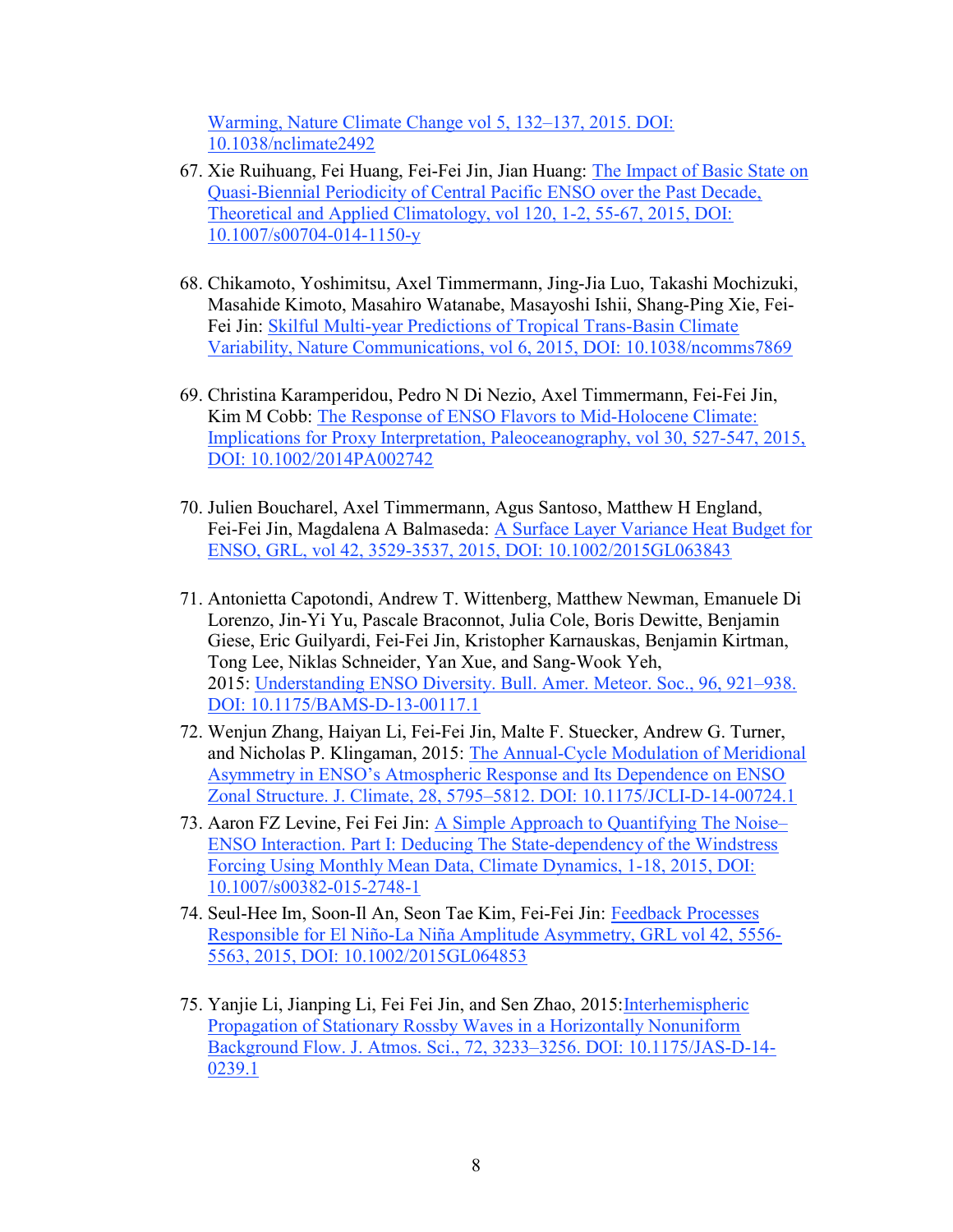Warming, Nature Climate Change vol 5, 132–137, 2015. DOI: 10.1038/nclimate2492

- 67. Xie Ruihuang, Fei Huang, Fei-Fei Jin, Jian Huang: The Impact of Basic State on Quasi-Biennial Periodicity of Central Pacific ENSO over the Past Decade, Theoretical and Applied Climatology, vol 120, 1-2, 55-67, 2015, DOI: 10.1007/s00704-014-1150-y
- 68. Chikamoto, Yoshimitsu, Axel Timmermann, Jing-Jia Luo, Takashi Mochizuki, Masahide Kimoto, Masahiro Watanabe, Masayoshi Ishii, Shang-Ping Xie, Fei-Fei Jin: Skilful Multi-year Predictions of Tropical Trans-Basin Climate Variability, Nature Communications, vol 6, 2015, DOI: 10.1038/ncomms7869
- 69. Christina Karamperidou, Pedro N Di Nezio, Axel Timmermann, Fei‐Fei Jin, Kim M Cobb: The Response of ENSO Flavors to Mid-Holocene Climate: Implications for Proxy Interpretation, Paleoceanography, vol 30, 527-547, 2015, DOI: 10.1002/2014PA002742
- 70. Julien Boucharel, Axel Timmermann, Agus Santoso, Matthew H England, Fei-Fei Jin, Magdalena A Balmaseda: A Surface Layer Variance Heat Budget for ENSO, GRL, vol 42, 3529-3537, 2015, DOI: 10.1002/2015GL063843
- 71. Antonietta Capotondi, Andrew T. Wittenberg, Matthew Newman, Emanuele Di Lorenzo, Jin-Yi Yu, Pascale Braconnot, Julia Cole, Boris Dewitte, Benjamin Giese, Eric Guilyardi, Fei-Fei Jin, Kristopher Karnauskas, Benjamin Kirtman, Tong Lee, Niklas Schneider, Yan Xue, and Sang-Wook Yeh, 2015: Understanding ENSO Diversity. Bull. Amer. Meteor. Soc., 96, 921–938. DOI: 10.1175/BAMS-D-13-00117.1
- 72. Wenjun Zhang, Haiyan Li, Fei-Fei Jin, Malte F. Stuecker, Andrew G. Turner, and Nicholas P. Klingaman, 2015: The Annual-Cycle Modulation of Meridional Asymmetry in ENSO's Atmospheric Response and Its Dependence on ENSO Zonal Structure. J. Climate, 28, 5795–5812. DOI: 10.1175/JCLI-D-14-00724.1
- 73. Aaron FZ Levine, Fei Fei Jin: A Simple Approach to Quantifying The Noise– ENSO Interaction. Part I: Deducing The State-dependency of the Windstress Forcing Using Monthly Mean Data, Climate Dynamics, 1-18, 2015, DOI: 10.1007/s00382-015-2748-1
- 74. Seul‐Hee Im, Soon‐Il An, Seon Tae Kim, Fei‐Fei Jin: Feedback Processes Responsible for El Niño‐La Niña Amplitude Asymmetry, GRL vol 42, 5556- 5563, 2015, DOI: 10.1002/2015GL064853
- 75. Yanjie Li, Jianping Li, Fei Fei Jin, and Sen Zhao, 2015:Interhemispheric Propagation of Stationary Rossby Waves in a Horizontally Nonuniform Background Flow. J. Atmos. Sci., 72, 3233–3256. DOI: 10.1175/JAS-D-14- 0239.1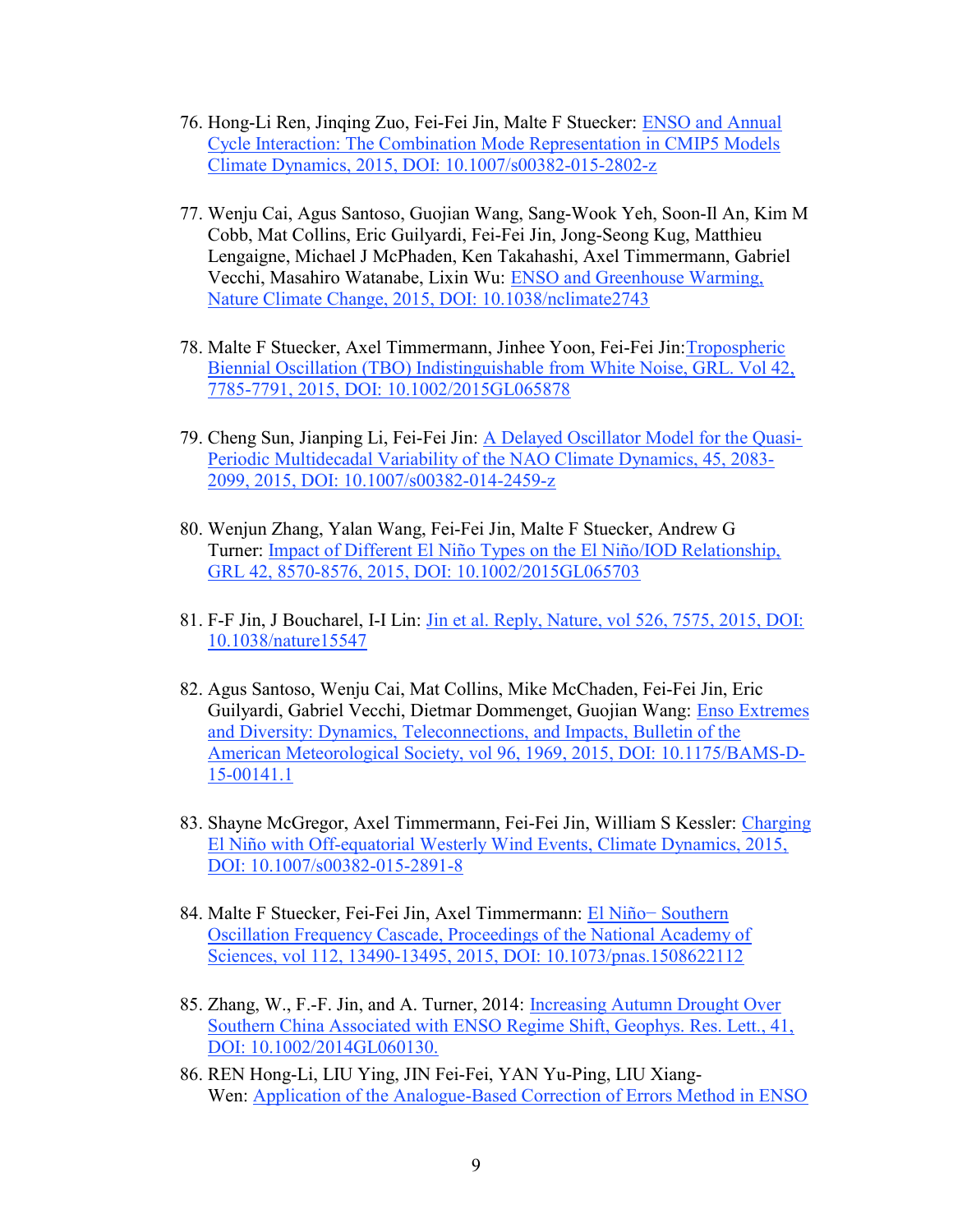- 76. Hong-Li Ren, Jinqing Zuo, Fei-Fei Jin, Malte F Stuecker: ENSO and Annual Cycle Interaction: The Combination Mode Representation in CMIP5 Models Climate Dynamics, 2015, DOI: 10.1007/s00382-015-2802-z
- 77. Wenju Cai, Agus Santoso, Guojian Wang, Sang-Wook Yeh, Soon-Il An, Kim M Cobb, Mat Collins, Eric Guilyardi, Fei-Fei Jin, Jong-Seong Kug, Matthieu Lengaigne, Michael J McPhaden, Ken Takahashi, Axel Timmermann, Gabriel Vecchi, Masahiro Watanabe, Lixin Wu: ENSO and Greenhouse Warming, Nature Climate Change, 2015, DOI: 10.1038/nclimate2743
- 78. Malte F Stuecker, Axel Timmermann, Jinhee Yoon, Fei‐Fei Jin:Tropospheric Biennial Oscillation (TBO) Indistinguishable from White Noise, GRL. Vol 42, 7785-7791, 2015, DOI: 10.1002/2015GL065878
- 79. Cheng Sun, Jianping Li, Fei-Fei Jin: A Delayed Oscillator Model for the Quasi-Periodic Multidecadal Variability of the NAO Climate Dynamics, 45, 2083- 2099, 2015, DOI: 10.1007/s00382-014-2459-z
- 80. Wenjun Zhang, Yalan Wang, Fei‐Fei Jin, Malte F Stuecker, Andrew G Turner: Impact of Different El Niño Types on the El Niño/IOD Relationship, GRL 42, 8570-8576, 2015, DOI: 10.1002/2015GL065703
- 81. F-F Jin, J Boucharel, I-I Lin: Jin et al. Reply, Nature, vol 526, 7575, 2015, DOI: 10.1038/nature15547
- 82. Agus Santoso, Wenju Cai, Mat Collins, Mike McChaden, Fei-Fei Jin, Eric Guilyardi, Gabriel Vecchi, Dietmar Dommenget, Guojian Wang: Enso Extremes and Diversity: Dynamics, Teleconnections, and Impacts, Bulletin of the American Meteorological Society, vol 96, 1969, 2015, DOI: 10.1175/BAMS-D-15-00141.1
- 83. Shayne McGregor, Axel Timmermann, Fei-Fei Jin, William S Kessler: Charging El Niño with Off-equatorial Westerly Wind Events, Climate Dynamics, 2015, DOI: 10.1007/s00382-015-2891-8
- 84. Malte F Stuecker, Fei-Fei Jin, Axel Timmermann: El Niño− Southern Oscillation Frequency Cascade, Proceedings of the National Academy of Sciences, vol 112, 13490-13495, 2015, DOI: 10.1073/pnas.1508622112
- 85. Zhang, W., F.-F. Jin, and A. Turner, 2014: Increasing Autumn Drought Over Southern China Associated with ENSO Regime Shift, Geophys. Res. Lett., 41, DOI: 10.1002/2014GL060130.
- 86. REN Hong-Li, LIU Ying, JIN Fei-Fei, YAN Yu-Ping, LIU Xiang-Wen: Application of the Analogue-Based Correction of Errors Method in ENSO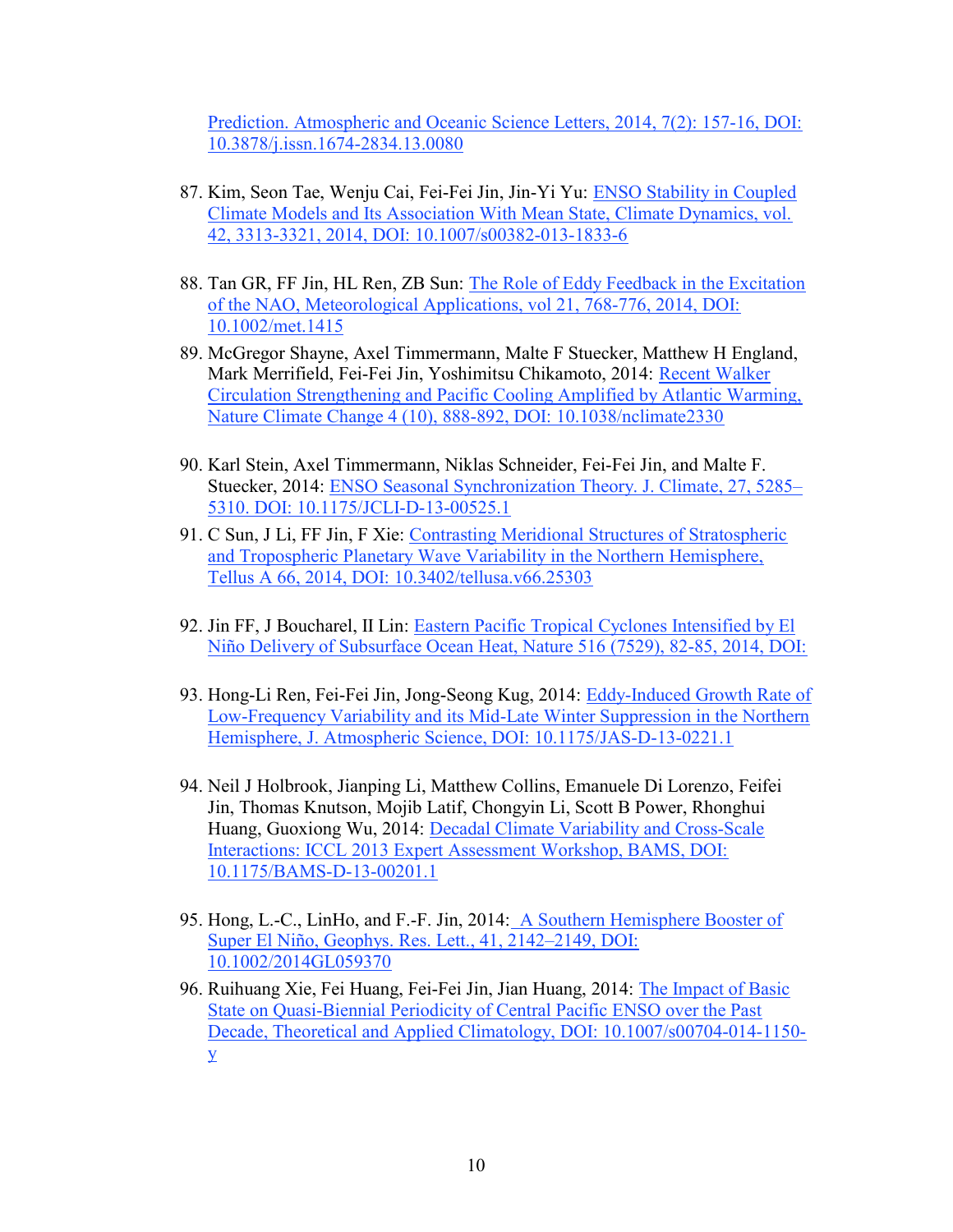Prediction. Atmospheric and Oceanic Science Letters, 2014, 7(2): 157-16, DOI: 10.3878/j.issn.1674-2834.13.0080

- 87. Kim, Seon Tae, Wenju Cai, Fei-Fei Jin, Jin-Yi Yu: ENSO Stability in Coupled Climate Models and Its Association With Mean State, Climate Dynamics, vol. 42, 3313-3321, 2014, DOI: 10.1007/s00382-013-1833-6
- 88. Tan GR, FF Jin, HL Ren, ZB Sun: The Role of Eddy Feedback in the Excitation of the NAO, Meteorological Applications, vol 21, 768-776, 2014, DOI: 10.1002/met.1415
- 89. McGregor Shayne, Axel Timmermann, Malte F Stuecker, Matthew H England, Mark Merrifield, Fei-Fei Jin, Yoshimitsu Chikamoto, 2014: Recent Walker Circulation Strengthening and Pacific Cooling Amplified by Atlantic Warming, Nature Climate Change 4 (10), 888-892, DOI: 10.1038/nclimate2330
- 90. Karl Stein, Axel Timmermann, Niklas Schneider, Fei-Fei Jin, and Malte F. Stuecker, 2014: ENSO Seasonal Synchronization Theory. J. Climate, 27, 5285– 5310. DOI: 10.1175/JCLI-D-13-00525.1
- 91. C Sun, J Li, FF Jin, F Xie: Contrasting Meridional Structures of Stratospheric and Tropospheric Planetary Wave Variability in the Northern Hemisphere, Tellus A 66, 2014, DOI: 10.3402/tellusa.v66.25303
- 92. Jin FF, J Boucharel, II Lin: Eastern Pacific Tropical Cyclones Intensified by El Niño Delivery of Subsurface Ocean Heat, Nature 516 (7529), 82-85, 2014, DOI:
- 93. Hong-Li Ren, Fei-Fei Jin, Jong-Seong Kug, 2014: Eddy-Induced Growth Rate of Low-Frequency Variability and its Mid-Late Winter Suppression in the Northern Hemisphere, J. Atmospheric Science, DOI: 10.1175/JAS-D-13-0221.1
- 94. Neil J Holbrook, Jianping Li, Matthew Collins, Emanuele Di Lorenzo, Feifei Jin, Thomas Knutson, Mojib Latif, Chongyin Li, Scott B Power, Rhonghui Huang, Guoxiong Wu, 2014: Decadal Climate Variability and Cross-Scale Interactions: ICCL 2013 Expert Assessment Workshop, BAMS, DOI: 10.1175/BAMS-D-13-00201.1
- 95. Hong, L.-C., LinHo, and F.-F. Jin, 2014: A Southern Hemisphere Booster of Super El Niño, Geophys. Res. Lett., 41, 2142–2149, DOI: 10.1002/2014GL059370
- 96. Ruihuang Xie, Fei Huang, Fei-Fei Jin, Jian Huang, 2014: The Impact of Basic State on Quasi-Biennial Periodicity of Central Pacific ENSO over the Past Decade, Theoretical and Applied Climatology, DOI: 10.1007/s00704-014-1150 y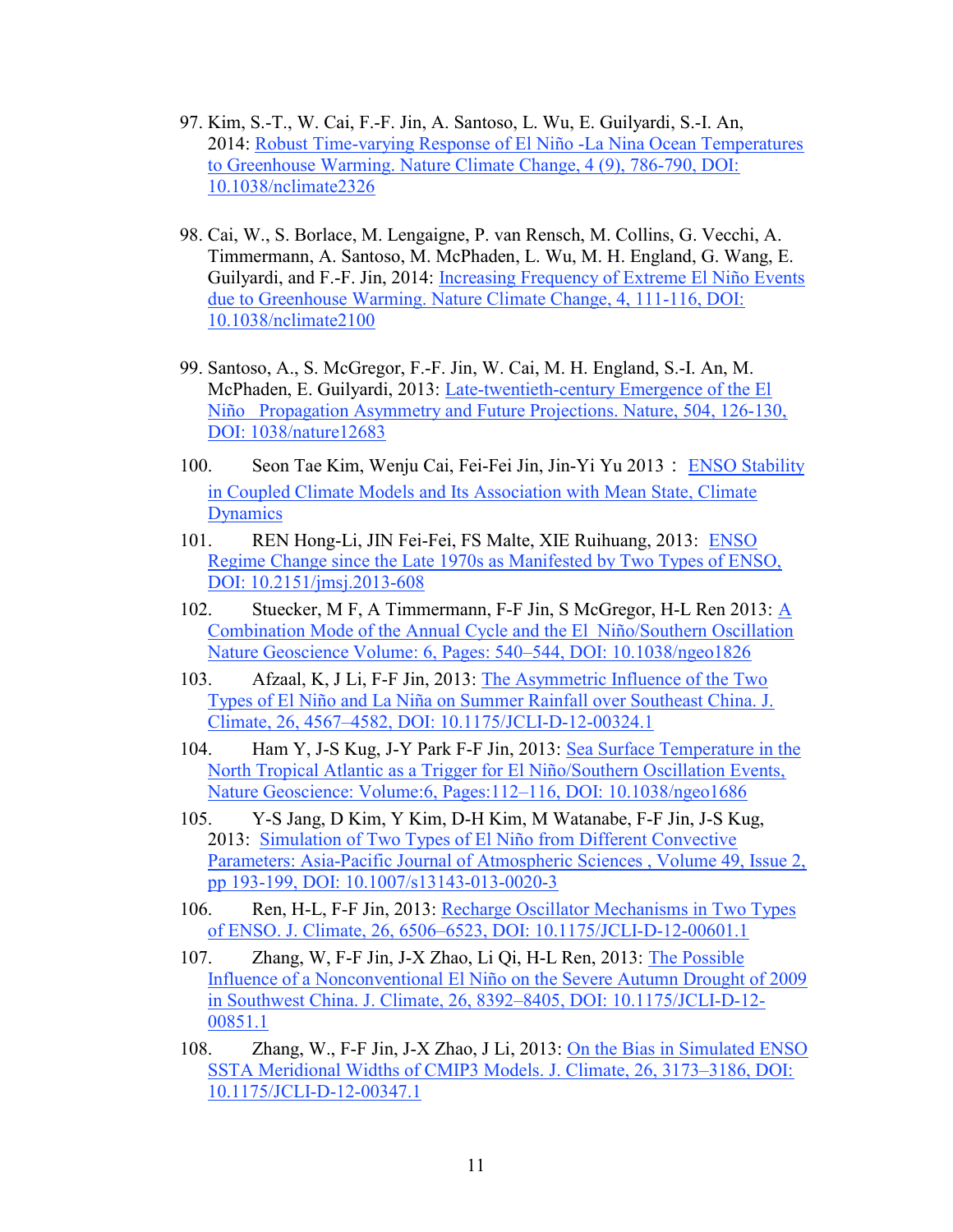- 97. Kim, S.-T., W. Cai, F.-F. Jin, A. Santoso, L. Wu, E. Guilyardi, S.-I. An, 2014: Robust Time-varying Response of El Niño -La Nina Ocean Temperatures to Greenhouse Warming. Nature Climate Change, 4 (9), 786-790, DOI: 10.1038/nclimate2326
- 98. Cai, W., S. Borlace, M. Lengaigne, P. van Rensch, M. Collins, G. Vecchi, A. Timmermann, A. Santoso, M. McPhaden, L. Wu, M. H. England, G. Wang, E. Guilyardi, and F.-F. Jin, 2014: Increasing Frequency of Extreme El Niño Events due to Greenhouse Warming. Nature Climate Change, 4, 111-116, DOI: 10.1038/nclimate2100
- 99. Santoso, A., S. McGregor, F.-F. Jin, W. Cai, M. H. England, S.-I. An, M. McPhaden, E. Guilyardi, 2013: Late-twentieth-century Emergence of the El Niño Propagation Asymmetry and Future Projections. Nature, 504, 126-130, DOI: 1038/nature12683
- 100. Seon Tae Kim, Wenju Cai, Fei-Fei Jin, Jin-Yi Yu 2013: ENSO Stability in Coupled Climate Models and Its Association with Mean State, Climate **Dynamics**
- 101. REN Hong-Li, JIN Fei-Fei, FS Malte, XIE Ruihuang, 2013: ENSO Regime Change since the Late 1970s as Manifested by Two Types of ENSO, DOI: 10.2151/jmsj.2013-608
- 102. Stuecker, M F, A Timmermann, F-F Jin, S McGregor, H-L Ren 2013: A Combination Mode of the Annual Cycle and the El Niño/Southern Oscillation Nature Geoscience Volume: 6, Pages: 540–544, DOI: 10.1038/ngeo1826
- 103. Afzaal, K, J Li, F-F Jin, 2013: The Asymmetric Influence of the Two Types of El Niño and La Niña on Summer Rainfall over Southeast China. J. Climate, 26, 4567–4582, DOI: 10.1175/JCLI-D-12-00324.1
- 104. Ham Y, J-S Kug, J-Y Park F-F Jin, 2013: Sea Surface Temperature in the North Tropical Atlantic as a Trigger for El Niño/Southern Oscillation Events, Nature Geoscience: Volume:6, Pages:112–116, DOI: 10.1038/ngeo1686
- 105. Y-S Jang, D Kim, Y Kim, D-H Kim, M Watanabe, F-F Jin, J-S Kug, 2013: Simulation of Two Types of El Niño from Different Convective Parameters: Asia-Pacific Journal of Atmospheric Sciences , Volume 49, Issue 2, pp 193-199, DOI: 10.1007/s13143-013-0020-3
- 106. Ren, H-L, F-F Jin, 2013: Recharge Oscillator Mechanisms in Two Types of ENSO. J. Climate, 26, 6506–6523, DOI: 10.1175/JCLI-D-12-00601.1
- 107. Zhang, W, F-F Jin, J-X Zhao, Li Qi, H-L Ren, 2013: The Possible Influence of a Nonconventional El Niño on the Severe Autumn Drought of 2009 in Southwest China. J. Climate, 26, 8392–8405, DOI: 10.1175/JCLI-D-12- 00851.1
- 108. Zhang, W., F-F Jin, J-X Zhao, J Li, 2013: On the Bias in Simulated ENSO SSTA Meridional Widths of CMIP3 Models. J. Climate, 26, 3173–3186, DOI: 10.1175/JCLI-D-12-00347.1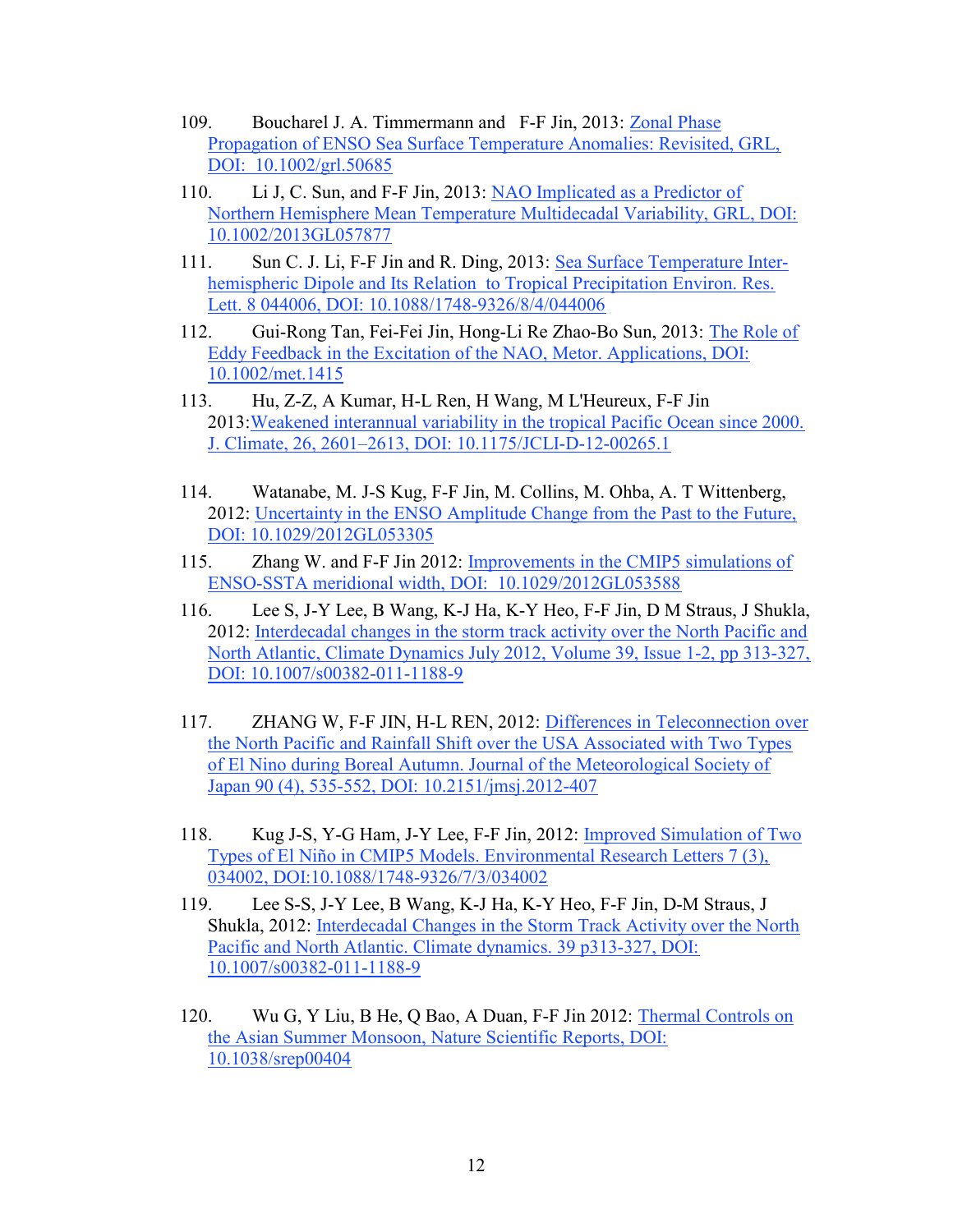- 109. Boucharel J. A. Timmermann and F-F Jin, 2013: Zonal Phase Propagation of ENSO Sea Surface Temperature Anomalies: Revisited, GRL, DOI: 10.1002/grl.50685
- 110. Li J, C. Sun, and F-F Jin, 2013: NAO Implicated as a Predictor of Northern Hemisphere Mean Temperature Multidecadal Variability, GRL, DOI: 10.1002/2013GL057877
- 111. Sun C. J. Li, F-F Jin and R. Ding, 2013: Sea Surface Temperature Interhemispheric Dipole and Its Relation to Tropical Precipitation Environ. Res. Lett. 8 044006, DOI: 10.1088/1748-9326/8/4/044006
- 112. Gui-Rong Tan, Fei-Fei Jin, Hong-Li Re Zhao-Bo Sun, 2013: The Role of Eddy Feedback in the Excitation of the NAO, Metor. Applications, DOI: 10.1002/met.1415
- 113. Hu, Z-Z, A Kumar, H-L Ren, H Wang, M L'Heureux, F-F Jin 2013:Weakened interannual variability in the tropical Pacific Ocean since 2000. J. Climate, 26, 2601–2613, DOI: 10.1175/JCLI-D-12-00265.1
- 114. Watanabe, M. J-S Kug, F-F Jin, M. Collins, M. Ohba, A. T Wittenberg, 2012: Uncertainty in the ENSO Amplitude Change from the Past to the Future, DOI: 10.1029/2012GL053305
- 115. Zhang W. and F-F Jin 2012: Improvements in the CMIP5 simulations of ENSO-SSTA meridional width, DOI: 10.1029/2012GL053588
- 116. Lee S, J-Y Lee, B Wang, K-J Ha, K-Y Heo, F-F Jin, D M Straus, J Shukla, 2012: Interdecadal changes in the storm track activity over the North Pacific and North Atlantic, Climate Dynamics July 2012, Volume 39, Issue 1-2, pp 313-327, DOI: 10.1007/s00382-011-1188-9
- 117. ZHANG W, F-F JIN, H-L REN, 2012: Differences in Teleconnection over the North Pacific and Rainfall Shift over the USA Associated with Two Types of El Nino during Boreal Autumn. Journal of the Meteorological Society of Japan 90 (4), 535-552, DOI: 10.2151/jmsj.2012-407
- 118. Kug J-S, Y-G Ham, J-Y Lee, F-F Jin, 2012: Improved Simulation of Two Types of El Niño in CMIP5 Models. Environmental Research Letters 7 (3), 034002, DOI:10.1088/1748-9326/7/3/034002
- 119. Lee S-S, J-Y Lee, B Wang, K-J Ha, K-Y Heo, F-F Jin, D-M Straus, J Shukla, 2012: Interdecadal Changes in the Storm Track Activity over the North Pacific and North Atlantic. Climate dynamics. 39 p313-327, DOI: 10.1007/s00382-011-1188-9
- 120. Wu G, Y Liu, B He, Q Bao, A Duan, F-F Jin 2012: Thermal Controls on the Asian Summer Monsoon, Nature Scientific Reports, DOI: 10.1038/srep00404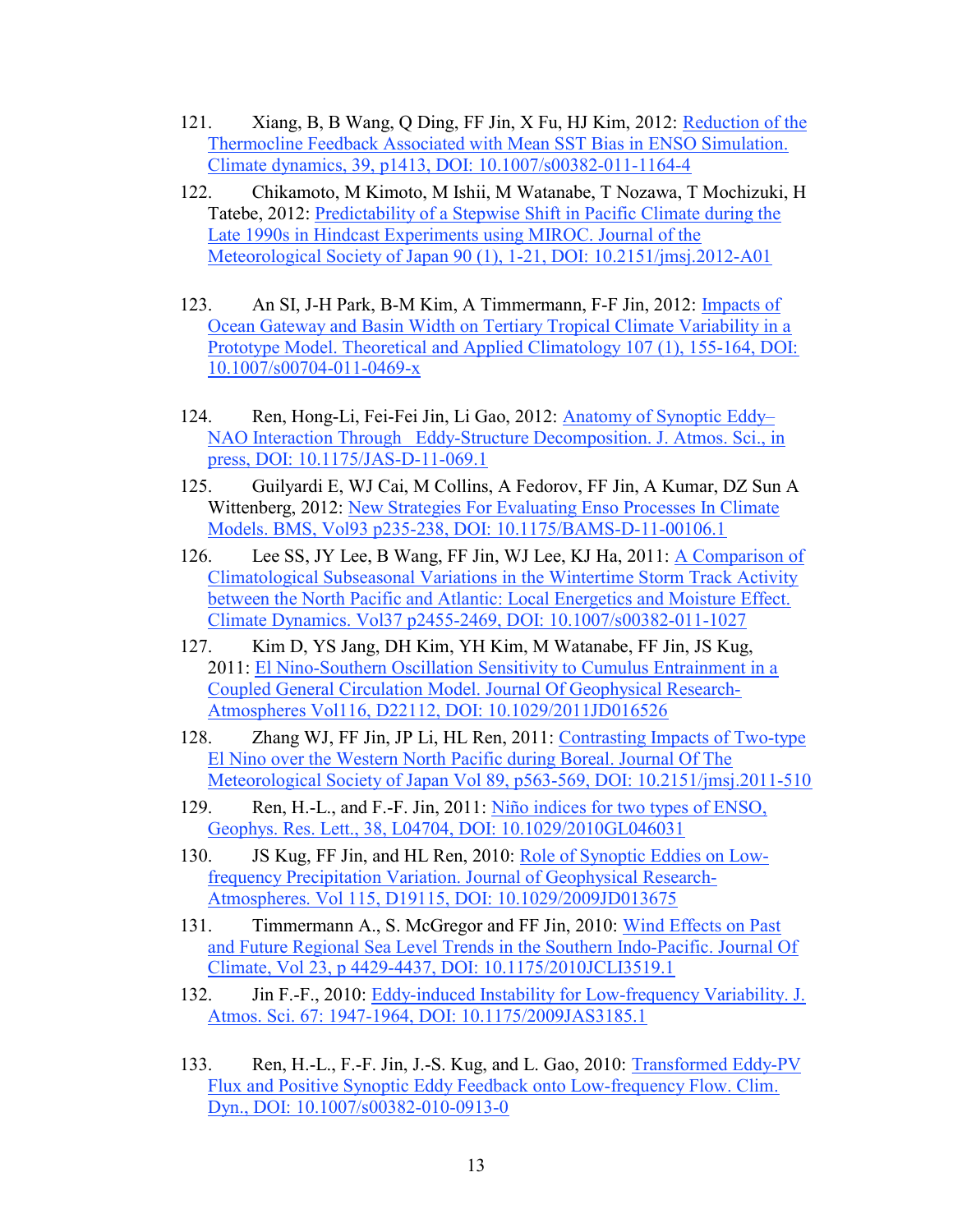- 121. Xiang, B, B Wang, Q Ding, FF Jin, X Fu, HJ Kim, 2012: Reduction of the Thermocline Feedback Associated with Mean SST Bias in ENSO Simulation. Climate dynamics, 39, p1413, DOI: 10.1007/s00382-011-1164-4
- 122. Chikamoto, M Kimoto, M Ishii, M Watanabe, T Nozawa, T Mochizuki, H Tatebe, 2012: Predictability of a Stepwise Shift in Pacific Climate during the Late 1990s in Hindcast Experiments using MIROC. Journal of the Meteorological Society of Japan 90 (1), 1-21, DOI: 10.2151/jmsj.2012-A01
- 123. An SI, J-H Park, B-M Kim, A Timmermann, F-F Jin, 2012: Impacts of Ocean Gateway and Basin Width on Tertiary Tropical Climate Variability in a Prototype Model. Theoretical and Applied Climatology 107 (1), 155-164, DOI: 10.1007/s00704-011-0469-x
- 124. Ren, Hong-Li, Fei-Fei Jin, Li Gao, 2012: Anatomy of Synoptic Eddy– NAO Interaction Through Eddy-Structure Decomposition. J. Atmos. Sci., in press, DOI: 10.1175/JAS-D-11-069.1
- 125. Guilyardi E, WJ Cai, M Collins, A Fedorov, FF Jin, A Kumar, DZ Sun A Wittenberg, 2012: New Strategies For Evaluating Enso Processes In Climate Models. BMS, Vol93 p235-238, DOI: 10.1175/BAMS-D-11-00106.1
- 126. Lee SS, JY Lee, B Wang, FF Jin, WJ Lee, KJ Ha, 2011: A Comparison of Climatological Subseasonal Variations in the Wintertime Storm Track Activity between the North Pacific and Atlantic: Local Energetics and Moisture Effect. Climate Dynamics. Vol37 p2455-2469, DOI: 10.1007/s00382-011-1027
- 127. Kim D, YS Jang, DH Kim, YH Kim, M Watanabe, FF Jin, JS Kug, 2011: El Nino-Southern Oscillation Sensitivity to Cumulus Entrainment in a Coupled General Circulation Model. Journal Of Geophysical Research-Atmospheres Vol116, D22112, DOI: 10.1029/2011JD016526
- 128. Zhang WJ, FF Jin, JP Li, HL Ren, 2011: Contrasting Impacts of Two-type El Nino over the Western North Pacific during Boreal. Journal Of The Meteorological Society of Japan Vol 89, p563-569, DOI: 10.2151/jmsj.2011-510
- 129. Ren, H.-L., and F.-F. Jin, 2011: Niño indices for two types of ENSO, Geophys. Res. Lett., 38, L04704, DOI: 10.1029/2010GL046031
- 130. JS Kug, FF Jin, and HL Ren, 2010: Role of Synoptic Eddies on Lowfrequency Precipitation Variation. Journal of Geophysical Research-Atmospheres. Vol 115, D19115, DOI: 10.1029/2009JD013675
- 131. Timmermann A., S. McGregor and FF Jin, 2010: Wind Effects on Past and Future Regional Sea Level Trends in the Southern Indo-Pacific. Journal Of Climate, Vol 23, p 4429-4437, DOI: 10.1175/2010JCLI3519.1
- 132. Jin F.-F., 2010: Eddy-induced Instability for Low-frequency Variability. J. Atmos. Sci. 67: 1947-1964, DOI: 10.1175/2009JAS3185.1
- 133. Ren, H.-L., F.-F. Jin, J.-S. Kug, and L. Gao, 2010: Transformed Eddy-PV Flux and Positive Synoptic Eddy Feedback onto Low-frequency Flow. Clim. Dyn., DOI: 10.1007/s00382-010-0913-0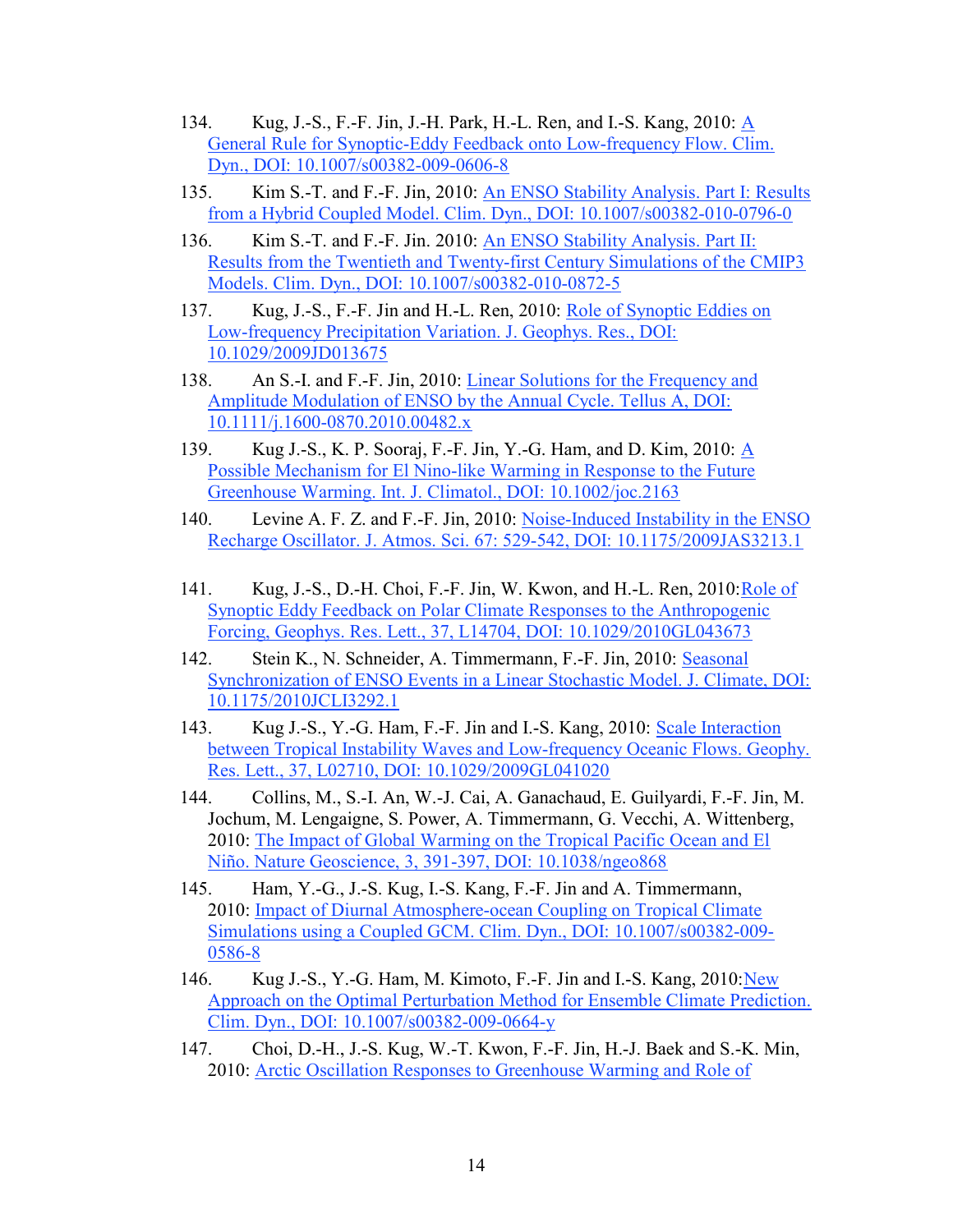- 134. Kug, J.-S., F.-F. Jin, J.-H. Park, H.-L. Ren, and I.-S. Kang, 2010: A General Rule for Synoptic-Eddy Feedback onto Low-frequency Flow. Clim. Dyn., DOI: 10.1007/s00382-009-0606-8
- 135. Kim S.-T. and F.-F. Jin, 2010: An ENSO Stability Analysis. Part I: Results from a Hybrid Coupled Model. Clim. Dyn., DOI: 10.1007/s00382-010-0796-0
- 136. Kim S.-T. and F.-F. Jin. 2010: An ENSO Stability Analysis. Part II: Results from the Twentieth and Twenty-first Century Simulations of the CMIP3 Models. Clim. Dyn., DOI: 10.1007/s00382-010-0872-5
- 137. Kug, J.-S., F.-F. Jin and H.-L. Ren, 2010: Role of Synoptic Eddies on Low-frequency Precipitation Variation. J. Geophys. Res., DOI: 10.1029/2009JD013675
- 138. An S.-I. and F.-F. Jin, 2010: Linear Solutions for the Frequency and Amplitude Modulation of ENSO by the Annual Cycle. Tellus A, DOI: 10.1111/j.1600-0870.2010.00482.x
- 139. Kug J.-S., K. P. Sooraj, F.-F. Jin, Y.-G. Ham, and D. Kim, 2010: A Possible Mechanism for El Nino-like Warming in Response to the Future Greenhouse Warming. Int. J. Climatol., DOI: 10.1002/joc.2163
- 140. Levine A. F. Z. and F.-F. Jin, 2010: Noise-Induced Instability in the ENSO Recharge Oscillator. J. Atmos. Sci. 67: 529-542, DOI: 10.1175/2009JAS3213.1
- 141. Kug, J.-S., D.-H. Choi, F.-F. Jin, W. Kwon, and H.-L. Ren, 2010:Role of Synoptic Eddy Feedback on Polar Climate Responses to the Anthropogenic Forcing, Geophys. Res. Lett., 37, L14704, DOI: 10.1029/2010GL043673
- 142. Stein K., N. Schneider, A. Timmermann, F.-F. Jin, 2010: Seasonal Synchronization of ENSO Events in a Linear Stochastic Model. J. Climate, DOI: 10.1175/2010JCLI3292.1
- 143. Kug J.-S., Y.-G. Ham, F.-F. Jin and I.-S. Kang, 2010: Scale Interaction between Tropical Instability Waves and Low-frequency Oceanic Flows. Geophy. Res. Lett., 37, L02710, DOI: 10.1029/2009GL041020
- 144. Collins, M., S.-I. An, W.-J. Cai, A. Ganachaud, E. Guilyardi, F.-F. Jin, M. Jochum, M. Lengaigne, S. Power, A. Timmermann, G. Vecchi, A. Wittenberg, 2010: The Impact of Global Warming on the Tropical Pacific Ocean and El Niño. Nature Geoscience, 3, 391-397, DOI: 10.1038/ngeo868
- 145. Ham, Y.-G., J.-S. Kug, I.-S. Kang, F.-F. Jin and A. Timmermann, 2010: Impact of Diurnal Atmosphere-ocean Coupling on Tropical Climate Simulations using a Coupled GCM. Clim. Dyn., DOI: 10.1007/s00382-009- 0586-8
- 146. Kug J.-S., Y.-G. Ham, M. Kimoto, F.-F. Jin and I.-S. Kang, 2010: New Approach on the Optimal Perturbation Method for Ensemble Climate Prediction. Clim. Dyn., DOI: 10.1007/s00382-009-0664-y
- 147. Choi, D.-H., J.-S. Kug, W.-T. Kwon, F.-F. Jin, H.-J. Baek and S.-K. Min, 2010: Arctic Oscillation Responses to Greenhouse Warming and Role of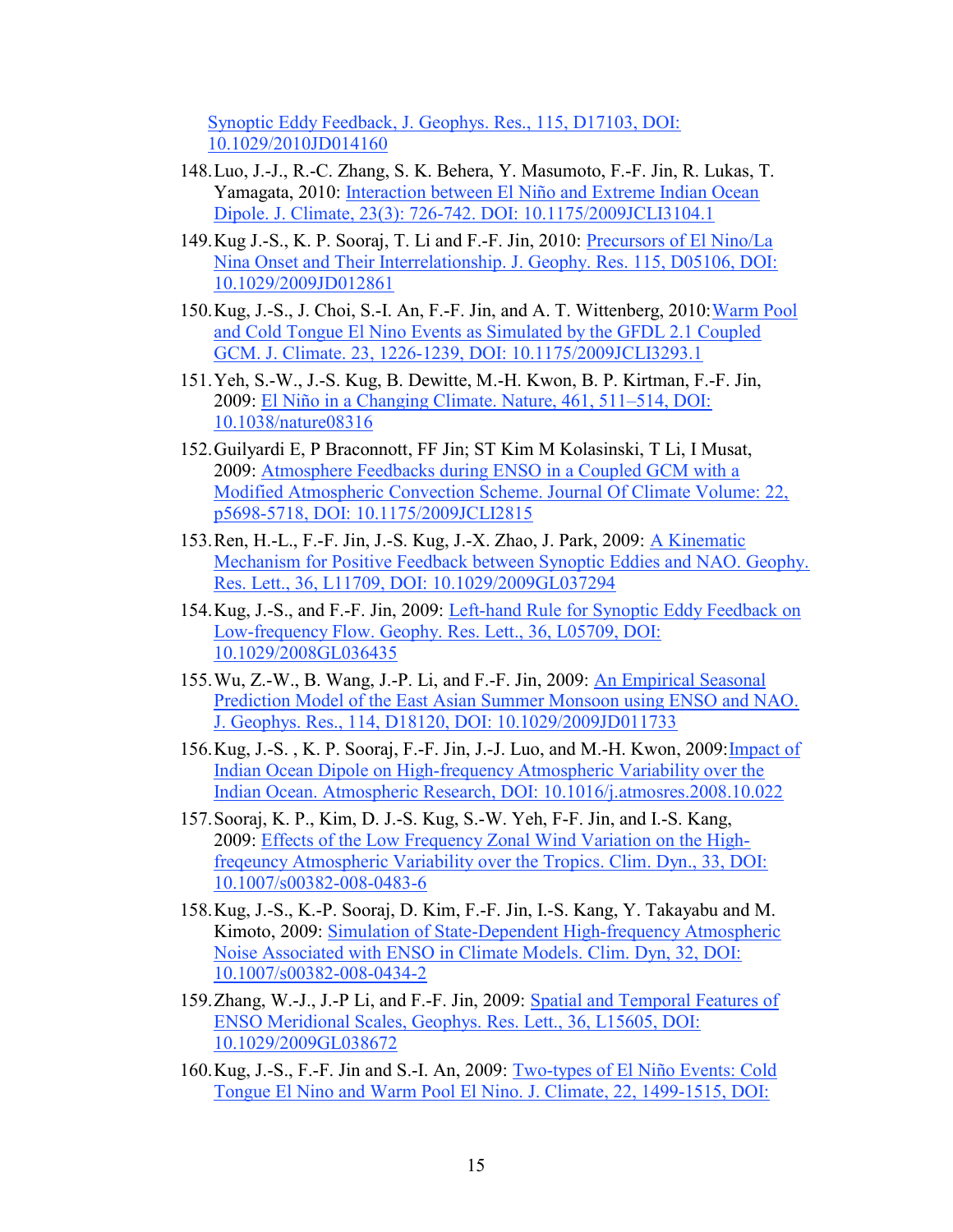Synoptic Eddy Feedback, J. Geophys. Res., 115, D17103, DOI: 10.1029/2010JD014160

- 148.Luo, J.-J., R.-C. Zhang, S. K. Behera, Y. Masumoto, F.-F. Jin, R. Lukas, T. Yamagata, 2010: Interaction between El Niño and Extreme Indian Ocean Dipole. J. Climate, 23(3): 726-742. DOI: 10.1175/2009JCLI3104.1
- 149.Kug J.-S., K. P. Sooraj, T. Li and F.-F. Jin, 2010: Precursors of El Nino/La Nina Onset and Their Interrelationship. J. Geophy. Res. 115, D05106, DOI: 10.1029/2009JD012861
- 150.Kug, J.-S., J. Choi, S.-I. An, F.-F. Jin, and A. T. Wittenberg, 2010:Warm Pool and Cold Tongue El Nino Events as Simulated by the GFDL 2.1 Coupled GCM. J. Climate. 23, 1226-1239, DOI: 10.1175/2009JCLI3293.1
- 151.Yeh, S.-W., J.-S. Kug, B. Dewitte, M.-H. Kwon, B. P. Kirtman, F.-F. Jin, 2009: El Niño in a Changing Climate. Nature, 461, 511–514, DOI: 10.1038/nature08316
- 152.Guilyardi E, P Braconnott, FF Jin; ST Kim M Kolasinski, T Li, I Musat, 2009: Atmosphere Feedbacks during ENSO in a Coupled GCM with a Modified Atmospheric Convection Scheme. Journal Of Climate Volume: 22, p5698-5718, DOI: 10.1175/2009JCLI2815
- 153.Ren, H.-L., F.-F. Jin, J.-S. Kug, J.-X. Zhao, J. Park, 2009: A Kinematic Mechanism for Positive Feedback between Synoptic Eddies and NAO. Geophy. Res. Lett., 36, L11709, DOI: 10.1029/2009GL037294
- 154.Kug, J.-S., and F.-F. Jin, 2009: Left-hand Rule for Synoptic Eddy Feedback on Low-frequency Flow. Geophy. Res. Lett., 36, L05709, DOI: 10.1029/2008GL036435
- 155.Wu, Z.-W., B. Wang, J.-P. Li, and F.-F. Jin, 2009: An Empirical Seasonal Prediction Model of the East Asian Summer Monsoon using ENSO and NAO. J. Geophys. Res., 114, D18120, DOI: 10.1029/2009JD011733
- 156.Kug, J.-S. , K. P. Sooraj, F.-F. Jin, J.-J. Luo, and M.-H. Kwon, 2009:Impact of Indian Ocean Dipole on High-frequency Atmospheric Variability over the Indian Ocean. Atmospheric Research, DOI: 10.1016/j.atmosres.2008.10.022
- 157.Sooraj, K. P., Kim, D. J.-S. Kug, S.-W. Yeh, F-F. Jin, and I.-S. Kang, 2009: Effects of the Low Frequency Zonal Wind Variation on the Highfreqeuncy Atmospheric Variability over the Tropics. Clim. Dyn., 33, DOI: 10.1007/s00382-008-0483-6
- 158.Kug, J.-S., K.-P. Sooraj, D. Kim, F.-F. Jin, I.-S. Kang, Y. Takayabu and M. Kimoto, 2009: Simulation of State-Dependent High-frequency Atmospheric Noise Associated with ENSO in Climate Models. Clim. Dyn, 32, DOI: 10.1007/s00382-008-0434-2
- 159. Zhang, W.-J., J.-P Li, and F.-F. Jin, 2009: Spatial and Temporal Features of ENSO Meridional Scales, Geophys. Res. Lett., 36, L15605, DOI: 10.1029/2009GL038672
- 160.Kug, J.-S., F.-F. Jin and S.-I. An, 2009: Two-types of El Niño Events: Cold Tongue El Nino and Warm Pool El Nino. J. Climate, 22, 1499-1515, DOI: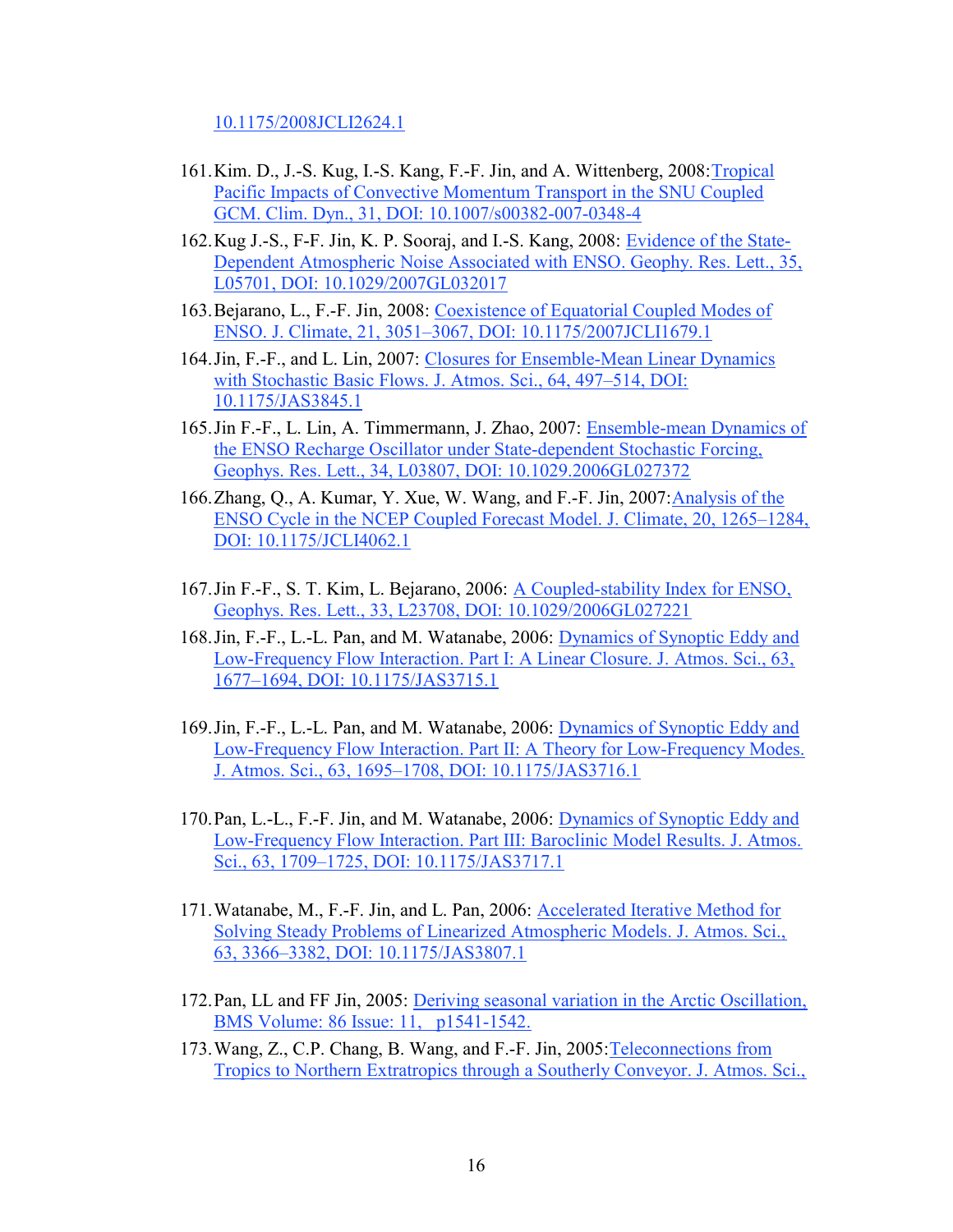10.1175/2008JCLI2624.1

- 161.Kim. D., J.-S. Kug, I.-S. Kang, F.-F. Jin, and A. Wittenberg, 2008:Tropical Pacific Impacts of Convective Momentum Transport in the SNU Coupled GCM. Clim. Dyn., 31, DOI: 10.1007/s00382-007-0348-4
- 162.Kug J.-S., F-F. Jin, K. P. Sooraj, and I.-S. Kang, 2008: Evidence of the State-Dependent Atmospheric Noise Associated with ENSO. Geophy. Res. Lett., 35, L05701, DOI: 10.1029/2007GL032017
- 163.Bejarano, L., F.-F. Jin, 2008: Coexistence of Equatorial Coupled Modes of ENSO. J. Climate, 21, 3051–3067, DOI: 10.1175/2007JCLI1679.1
- 164.Jin, F.-F., and L. Lin, 2007: Closures for Ensemble-Mean Linear Dynamics with Stochastic Basic Flows. J. Atmos. Sci., 64, 497–514, DOI: 10.1175/JAS3845.1
- 165.Jin F.-F., L. Lin, A. Timmermann, J. Zhao, 2007: Ensemble-mean Dynamics of the ENSO Recharge Oscillator under State-dependent Stochastic Forcing, Geophys. Res. Lett., 34, L03807, DOI: 10.1029.2006GL027372
- 166. Zhang, Q., A. Kumar, Y. Xue, W. Wang, and F.-F. Jin, 2007: Analysis of the ENSO Cycle in the NCEP Coupled Forecast Model. J. Climate, 20, 1265–1284, DOI: 10.1175/JCLI4062.1
- 167.Jin F.-F., S. T. Kim, L. Bejarano, 2006: A Coupled-stability Index for ENSO, Geophys. Res. Lett., 33, L23708, DOI: 10.1029/2006GL027221
- 168.Jin, F.-F., L.-L. Pan, and M. Watanabe, 2006: Dynamics of Synoptic Eddy and Low-Frequency Flow Interaction. Part I: A Linear Closure. J. Atmos. Sci., 63, 1677–1694, DOI: 10.1175/JAS3715.1
- 169.Jin, F.-F., L.-L. Pan, and M. Watanabe, 2006: Dynamics of Synoptic Eddy and Low-Frequency Flow Interaction. Part II: A Theory for Low-Frequency Modes. J. Atmos. Sci., 63, 1695–1708, DOI: 10.1175/JAS3716.1
- 170.Pan, L.-L., F.-F. Jin, and M. Watanabe, 2006: Dynamics of Synoptic Eddy and Low-Frequency Flow Interaction. Part III: Baroclinic Model Results. J. Atmos. Sci., 63, 1709–1725, DOI: 10.1175/JAS3717.1
- 171.Watanabe, M., F.-F. Jin, and L. Pan, 2006: Accelerated Iterative Method for Solving Steady Problems of Linearized Atmospheric Models. J. Atmos. Sci., 63, 3366–3382, DOI: 10.1175/JAS3807.1
- 172.Pan, LL and FF Jin, 2005: Deriving seasonal variation in the Arctic Oscillation, BMS Volume: 86 Issue: 11, p1541-1542.
- 173.Wang, Z., C.P. Chang, B. Wang, and F.-F. Jin, 2005:Teleconnections from Tropics to Northern Extratropics through a Southerly Conveyor. J. Atmos. Sci.,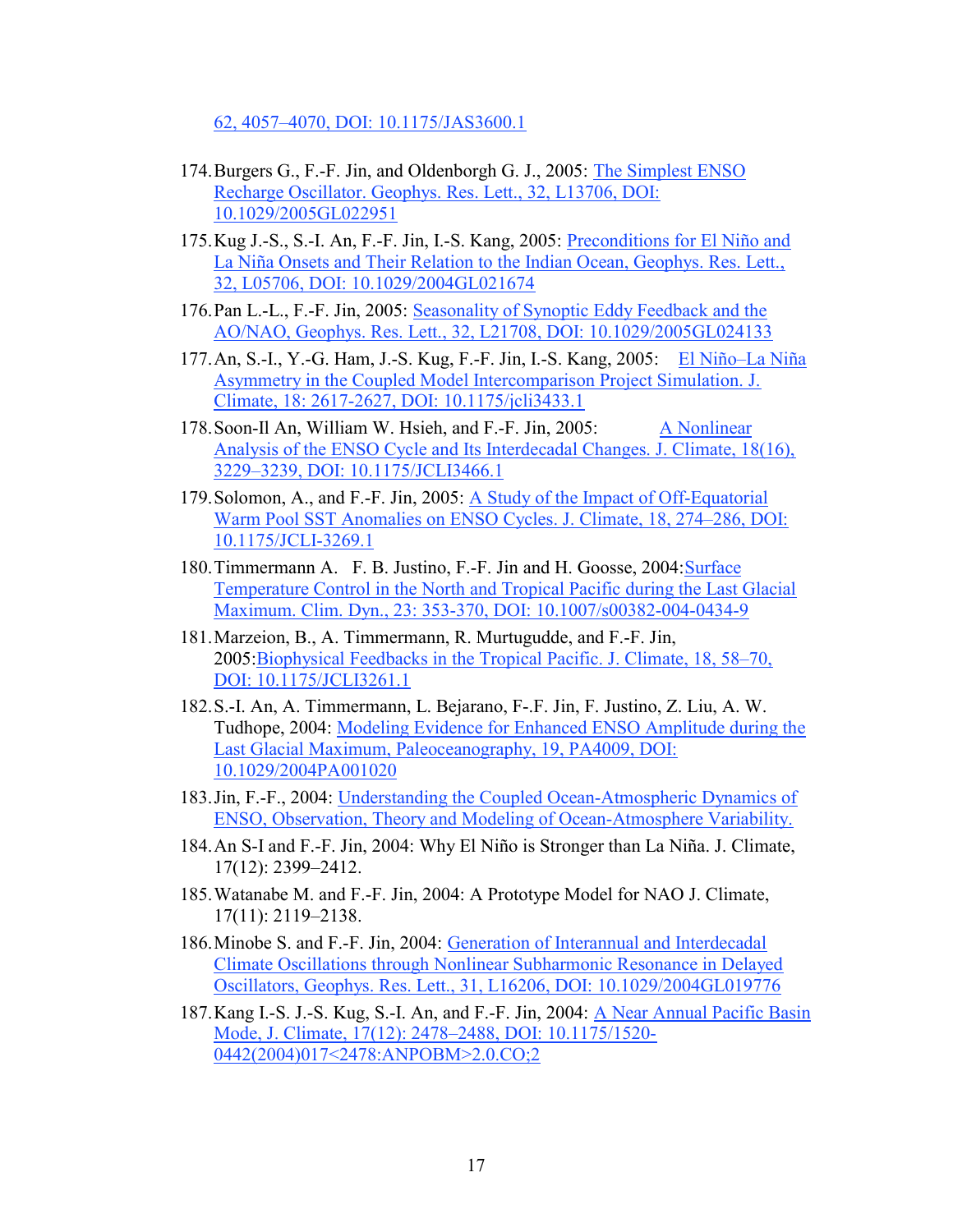62, 4057–4070, DOI: 10.1175/JAS3600.1

- 174.Burgers G., F.-F. Jin, and Oldenborgh G. J., 2005: The Simplest ENSO Recharge Oscillator. Geophys. Res. Lett., 32, L13706, DOI: 10.1029/2005GL022951
- 175.Kug J.-S., S.-I. An, F.-F. Jin, I.-S. Kang, 2005: Preconditions for El Niño and La Niña Onsets and Their Relation to the Indian Ocean, Geophys. Res. Lett., 32, L05706, DOI: 10.1029/2004GL021674
- 176.Pan L.-L., F.-F. Jin, 2005: Seasonality of Synoptic Eddy Feedback and the AO/NAO, Geophys. Res. Lett., 32, L21708, DOI: 10.1029/2005GL024133
- 177. An, S.-I., Y.-G. Ham, J.-S. Kug, F.-F. Jin, I.-S. Kang, 2005: El Niño–La Niña Asymmetry in the Coupled Model Intercomparison Project Simulation. J. Climate, 18: 2617-2627, DOI: 10.1175/jcli3433.1
- 178. Soon-Il An, William W. Hsieh, and F.-F. Jin, 2005: A Nonlinear Analysis of the ENSO Cycle and Its Interdecadal Changes. J. Climate, 18(16), 3229–3239, DOI: 10.1175/JCLI3466.1
- 179.Solomon, A., and F.-F. Jin, 2005: A Study of the Impact of Off-Equatorial Warm Pool SST Anomalies on ENSO Cycles. J. Climate, 18, 274–286, DOI: 10.1175/JCLI-3269.1
- 180.Timmermann A. F. B. Justino, F.-F. Jin and H. Goosse, 2004:Surface Temperature Control in the North and Tropical Pacific during the Last Glacial Maximum. Clim. Dyn., 23: 353-370, DOI: 10.1007/s00382-004-0434-9
- 181.Marzeion, B., A. Timmermann, R. Murtugudde, and F.-F. Jin, 2005:Biophysical Feedbacks in the Tropical Pacific. J. Climate, 18, 58–70, DOI: 10.1175/JCLI3261.1
- 182.S.-I. An, A. Timmermann, L. Bejarano, F-.F. Jin, F. Justino, Z. Liu, A. W. Tudhope, 2004: Modeling Evidence for Enhanced ENSO Amplitude during the Last Glacial Maximum, Paleoceanography, 19, PA4009, DOI: 10.1029/2004PA001020
- 183.Jin, F.-F., 2004: Understanding the Coupled Ocean-Atmospheric Dynamics of ENSO, Observation, Theory and Modeling of Ocean-Atmosphere Variability.
- 184.An S-I and F.-F. Jin, 2004: Why El Niño is Stronger than La Niña. J. Climate, 17(12): 2399–2412.
- 185.Watanabe M. and F.-F. Jin, 2004: A Prototype Model for NAO J. Climate, 17(11): 2119–2138.
- 186.Minobe S. and F.-F. Jin, 2004: Generation of Interannual and Interdecadal Climate Oscillations through Nonlinear Subharmonic Resonance in Delayed Oscillators, Geophys. Res. Lett., 31, L16206, DOI: 10.1029/2004GL019776
- 187.Kang I.-S. J.-S. Kug, S.-I. An, and F.-F. Jin, 2004: A Near Annual Pacific Basin Mode, J. Climate, 17(12): 2478–2488, DOI: 10.1175/1520- 0442(2004)017<2478:ANPOBM>2.0.CO;2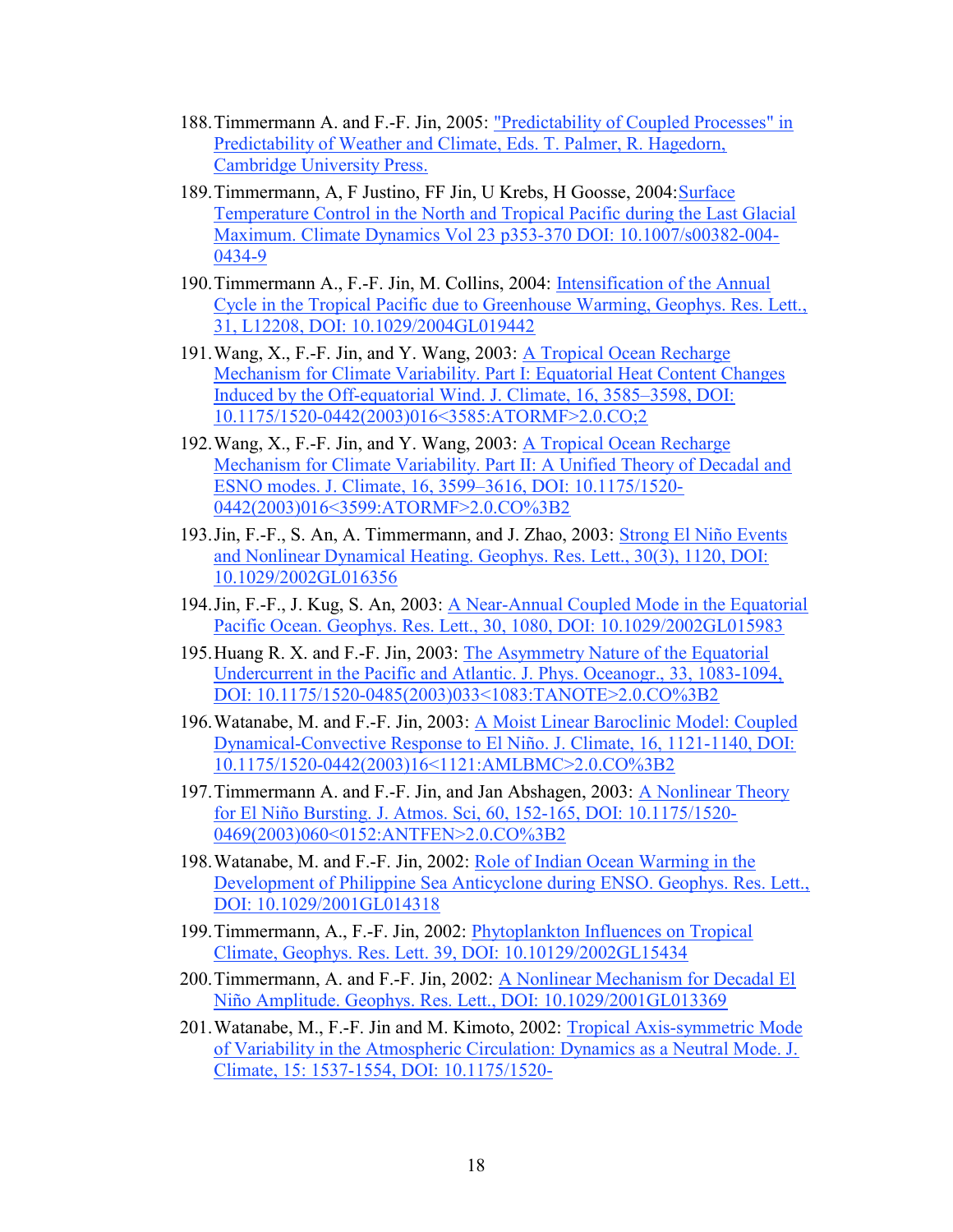- 188.Timmermann A. and F.-F. Jin, 2005: "Predictability of Coupled Processes" in Predictability of Weather and Climate, Eds. T. Palmer, R. Hagedorn, Cambridge University Press.
- 189.Timmermann, A, F Justino, FF Jin, U Krebs, H Goosse, 2004:Surface Temperature Control in the North and Tropical Pacific during the Last Glacial Maximum. Climate Dynamics Vol 23 p353-370 DOI: 10.1007/s00382-004- 0434-9
- 190.Timmermann A., F.-F. Jin, M. Collins, 2004: Intensification of the Annual Cycle in the Tropical Pacific due to Greenhouse Warming, Geophys. Res. Lett., 31, L12208, DOI: 10.1029/2004GL019442
- 191.Wang, X., F.-F. Jin, and Y. Wang, 2003: A Tropical Ocean Recharge Mechanism for Climate Variability. Part I: Equatorial Heat Content Changes Induced by the Off-equatorial Wind. J. Climate, 16, 3585–3598, DOI: 10.1175/1520-0442(2003)016<3585:ATORMF>2.0.CO;2
- 192. Wang, X., F.-F. Jin, and Y. Wang, 2003: A Tropical Ocean Recharge Mechanism for Climate Variability. Part II: A Unified Theory of Decadal and ESNO modes. J. Climate, 16, 3599–3616, DOI: 10.1175/1520- 0442(2003)016<3599:ATORMF>2.0.CO%3B2
- 193.Jin, F.-F., S. An, A. Timmermann, and J. Zhao, 2003: Strong El Niño Events and Nonlinear Dynamical Heating. Geophys. Res. Lett., 30(3), 1120, DOI: 10.1029/2002GL016356
- 194.Jin, F.-F., J. Kug, S. An, 2003: A Near-Annual Coupled Mode in the Equatorial Pacific Ocean. Geophys. Res. Lett., 30, 1080, DOI: 10.1029/2002GL015983
- 195.Huang R. X. and F.-F. Jin, 2003: The Asymmetry Nature of the Equatorial Undercurrent in the Pacific and Atlantic. J. Phys. Oceanogr., 33, 1083-1094, DOI: 10.1175/1520-0485(2003)033<1083:TANOTE>2.0.CO%3B2
- 196.Watanabe, M. and F.-F. Jin, 2003: A Moist Linear Baroclinic Model: Coupled Dynamical-Convective Response to El Niño. J. Climate, 16, 1121-1140, DOI: 10.1175/1520-0442(2003)16<1121:AMLBMC>2.0.CO%3B2
- 197.Timmermann A. and F.-F. Jin, and Jan Abshagen, 2003: A Nonlinear Theory for El Niño Bursting. J. Atmos. Sci, 60, 152-165, DOI: 10.1175/1520- 0469(2003)060<0152:ANTFEN>2.0.CO%3B2
- 198. Watanabe, M. and F.-F. Jin, 2002: Role of Indian Ocean Warming in the Development of Philippine Sea Anticyclone during ENSO. Geophys. Res. Lett., DOI: 10.1029/2001GL014318
- 199.Timmermann, A., F.-F. Jin, 2002: Phytoplankton Influences on Tropical Climate, Geophys. Res. Lett. 39, DOI: 10.10129/2002GL15434
- 200.Timmermann, A. and F.-F. Jin, 2002: A Nonlinear Mechanism for Decadal El Niño Amplitude. Geophys. Res. Lett., DOI: 10.1029/2001GL013369
- 201.Watanabe, M., F.-F. Jin and M. Kimoto, 2002: Tropical Axis-symmetric Mode of Variability in the Atmospheric Circulation: Dynamics as a Neutral Mode. J. Climate, 15: 1537-1554, DOI: 10.1175/1520-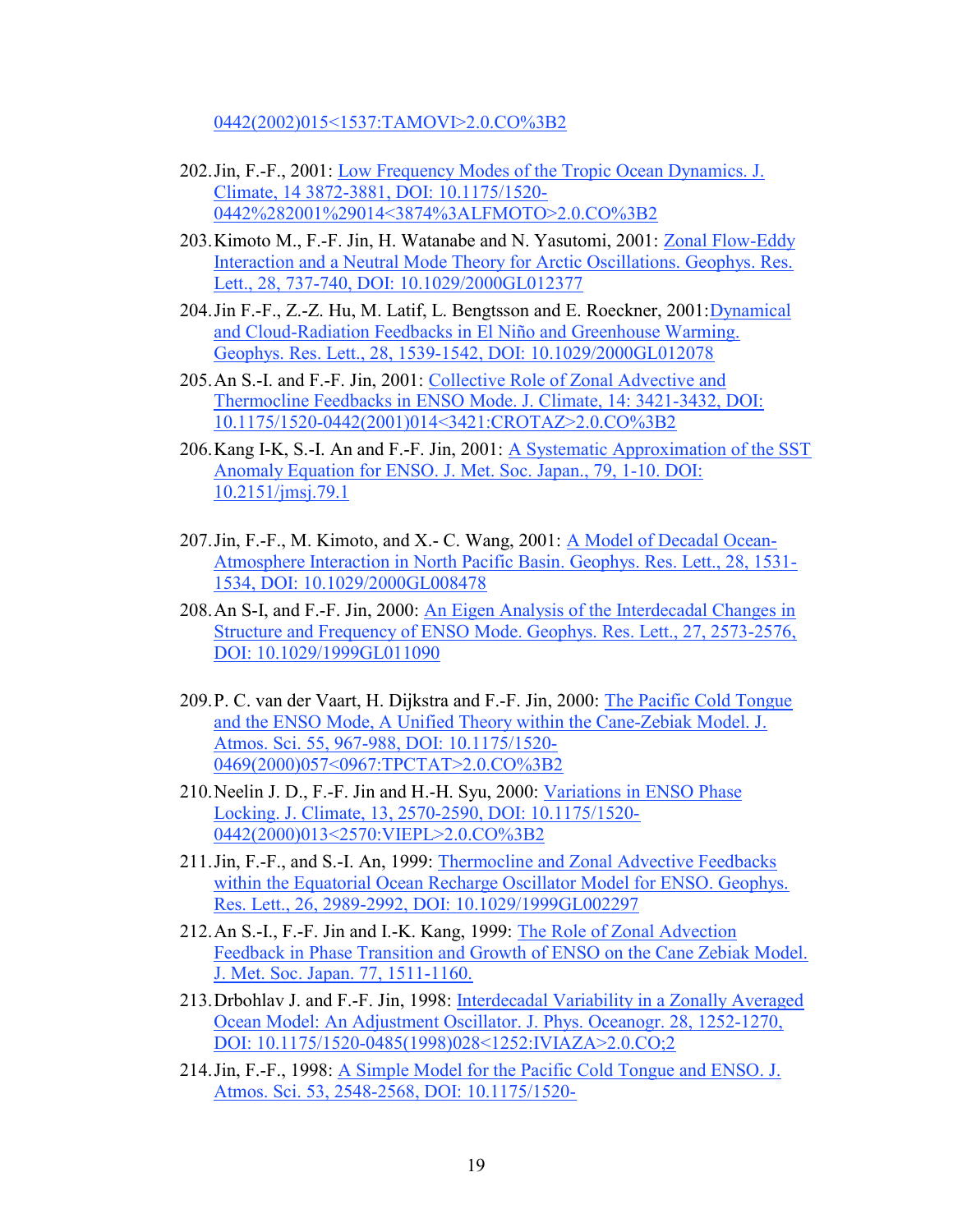0442(2002)015<1537:TAMOVI>2.0.CO%3B2

- 202.Jin, F.-F., 2001: Low Frequency Modes of the Tropic Ocean Dynamics. J. Climate, 14 3872-3881, DOI: 10.1175/1520- 0442%282001%29014<3874%3ALFMOTO>2.0.CO%3B2
- 203.Kimoto M., F.-F. Jin, H. Watanabe and N. Yasutomi, 2001: Zonal Flow-Eddy Interaction and a Neutral Mode Theory for Arctic Oscillations. Geophys. Res. Lett., 28, 737-740, DOI: 10.1029/2000GL012377
- 204.Jin F.-F., Z.-Z. Hu, M. Latif, L. Bengtsson and E. Roeckner, 2001:Dynamical and Cloud-Radiation Feedbacks in El Niño and Greenhouse Warming. Geophys. Res. Lett., 28, 1539-1542, DOI: 10.1029/2000GL012078
- 205.An S.-I. and F.-F. Jin, 2001: Collective Role of Zonal Advective and Thermocline Feedbacks in ENSO Mode. J. Climate, 14: 3421-3432, DOI: 10.1175/1520-0442(2001)014<3421:CROTAZ>2.0.CO%3B2
- 206.Kang I-K, S.-I. An and F.-F. Jin, 2001: A Systematic Approximation of the SST Anomaly Equation for ENSO. J. Met. Soc. Japan., 79, 1-10. DOI: 10.2151/jmsj.79.1
- 207.Jin, F.-F., M. Kimoto, and X.- C. Wang, 2001: A Model of Decadal Ocean-Atmosphere Interaction in North Pacific Basin. Geophys. Res. Lett., 28, 1531- 1534, DOI: 10.1029/2000GL008478
- 208.An S-I, and F.-F. Jin, 2000: An Eigen Analysis of the Interdecadal Changes in Structure and Frequency of ENSO Mode. Geophys. Res. Lett., 27, 2573-2576, DOI: 10.1029/1999GL011090
- 209.P. C. van der Vaart, H. Dijkstra and F.-F. Jin, 2000: The Pacific Cold Tongue and the ENSO Mode, A Unified Theory within the Cane-Zebiak Model. J. Atmos. Sci. 55, 967-988, DOI: 10.1175/1520- 0469(2000)057<0967:TPCTAT>2.0.CO%3B2
- 210.Neelin J. D., F.-F. Jin and H.-H. Syu, 2000: Variations in ENSO Phase Locking. J. Climate, 13, 2570-2590, DOI: 10.1175/1520- 0442(2000)013<2570:VIEPL>2.0.CO%3B2
- 211.Jin, F.-F., and S.-I. An, 1999: Thermocline and Zonal Advective Feedbacks within the Equatorial Ocean Recharge Oscillator Model for ENSO. Geophys. Res. Lett., 26, 2989-2992, DOI: 10.1029/1999GL002297
- 212.An S.-I., F.-F. Jin and I.-K. Kang, 1999: The Role of Zonal Advection Feedback in Phase Transition and Growth of ENSO on the Cane Zebiak Model. J. Met. Soc. Japan. 77, 1511-1160.
- 213.Drbohlav J. and F.-F. Jin, 1998: Interdecadal Variability in a Zonally Averaged Ocean Model: An Adjustment Oscillator. J. Phys. Oceanogr. 28, 1252-1270, DOI: 10.1175/1520-0485(1998)028<1252:IVIAZA>2.0.CO;2
- 214.Jin, F.-F., 1998: A Simple Model for the Pacific Cold Tongue and ENSO. J. Atmos. Sci. 53, 2548-2568, DOI: 10.1175/1520-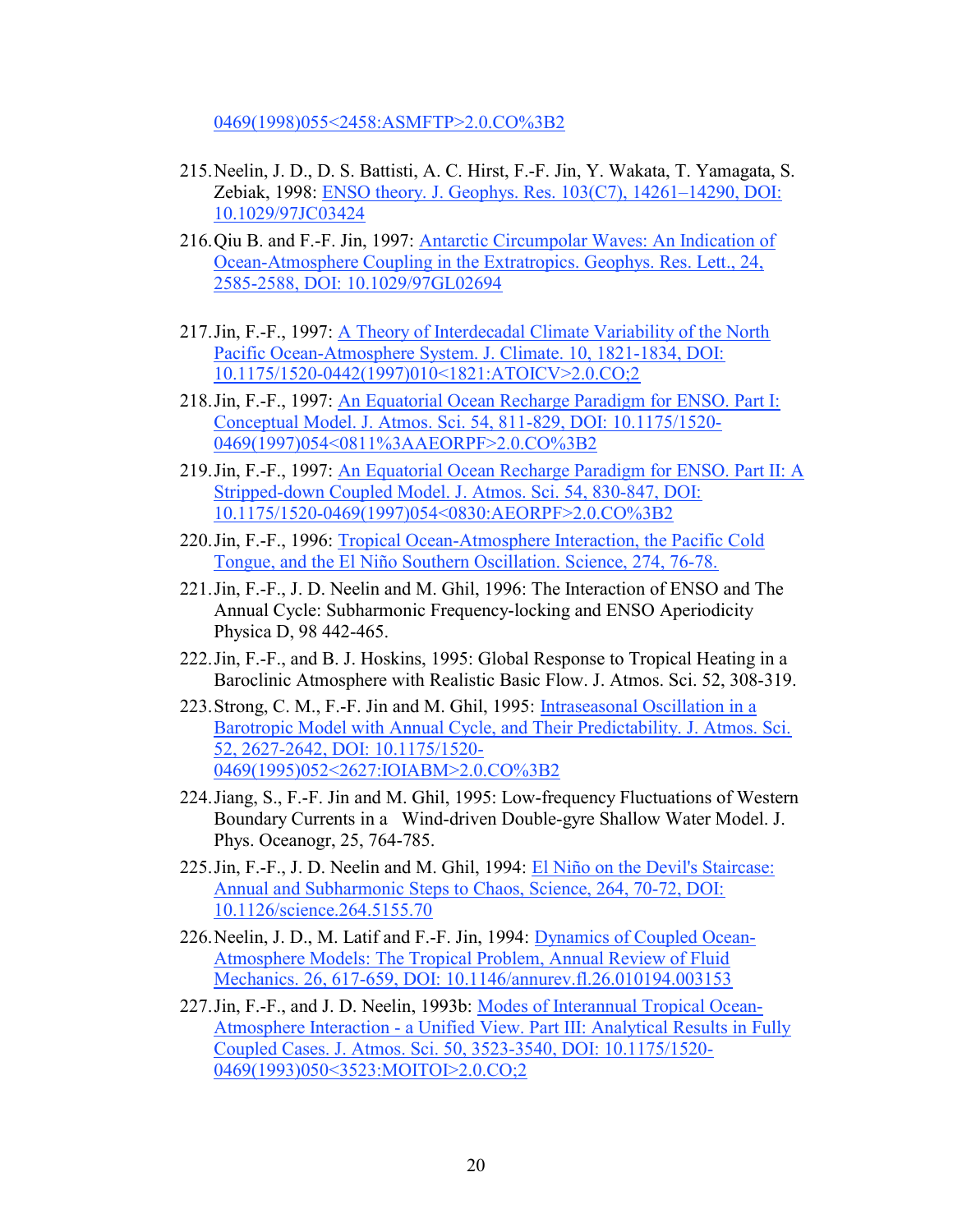0469(1998)055<2458:ASMFTP>2.0.CO%3B2

- 215.Neelin, J. D., D. S. Battisti, A. C. Hirst, F.-F. Jin, Y. Wakata, T. Yamagata, S. Zebiak, 1998: ENSO theory. J. Geophys. Res. 103(C7), 14261–14290, DOI: 10.1029/97JC03424
- 216.Qiu B. and F.-F. Jin, 1997: Antarctic Circumpolar Waves: An Indication of Ocean-Atmosphere Coupling in the Extratropics. Geophys. Res. Lett., 24, 2585-2588, DOI: 10.1029/97GL02694
- 217. Jin, F.-F., 1997: A Theory of Interdecadal Climate Variability of the North Pacific Ocean-Atmosphere System. J. Climate. 10, 1821-1834, DOI: 10.1175/1520-0442(1997)010<1821:ATOICV>2.0.CO;2
- 218.Jin, F.-F., 1997: An Equatorial Ocean Recharge Paradigm for ENSO. Part I: Conceptual Model. J. Atmos. Sci. 54, 811-829, DOI: 10.1175/1520- 0469(1997)054<0811%3AAEORPF>2.0.CO%3B2
- 219.Jin, F.-F., 1997: An Equatorial Ocean Recharge Paradigm for ENSO. Part II: A Stripped-down Coupled Model. J. Atmos. Sci. 54, 830-847, DOI: 10.1175/1520-0469(1997)054<0830:AEORPF>2.0.CO%3B2
- 220.Jin, F.-F., 1996: Tropical Ocean-Atmosphere Interaction, the Pacific Cold Tongue, and the El Niño Southern Oscillation. Science, 274, 76-78.
- 221.Jin, F.-F., J. D. Neelin and M. Ghil, 1996: The Interaction of ENSO and The Annual Cycle: Subharmonic Frequency-locking and ENSO Aperiodicity Physica D, 98 442-465.
- 222.Jin, F.-F., and B. J. Hoskins, 1995: Global Response to Tropical Heating in a Baroclinic Atmosphere with Realistic Basic Flow. J. Atmos. Sci. 52, 308-319.
- 223.Strong, C. M., F.-F. Jin and M. Ghil, 1995: Intraseasonal Oscillation in a Barotropic Model with Annual Cycle, and Their Predictability. J. Atmos. Sci. 52, 2627-2642, DOI: 10.1175/1520- 0469(1995)052<2627:IOIABM>2.0.CO%3B2
- 224.Jiang, S., F.-F. Jin and M. Ghil, 1995: Low-frequency Fluctuations of Western Boundary Currents in a Wind-driven Double-gyre Shallow Water Model. J. Phys. Oceanogr, 25, 764-785.
- 225.Jin, F.-F., J. D. Neelin and M. Ghil, 1994: El Niño on the Devil's Staircase: Annual and Subharmonic Steps to Chaos, Science, 264, 70-72, DOI: 10.1126/science.264.5155.70
- 226.Neelin, J. D., M. Latif and F.-F. Jin, 1994: Dynamics of Coupled Ocean-Atmosphere Models: The Tropical Problem, Annual Review of Fluid Mechanics. 26, 617-659, DOI: 10.1146/annurev.fl.26.010194.003153
- 227.Jin, F.-F., and J. D. Neelin, 1993b: Modes of Interannual Tropical Ocean-Atmosphere Interaction - a Unified View. Part III: Analytical Results in Fully Coupled Cases. J. Atmos. Sci. 50, 3523-3540, DOI: 10.1175/1520- 0469(1993)050<3523:MOITOI>2.0.CO;2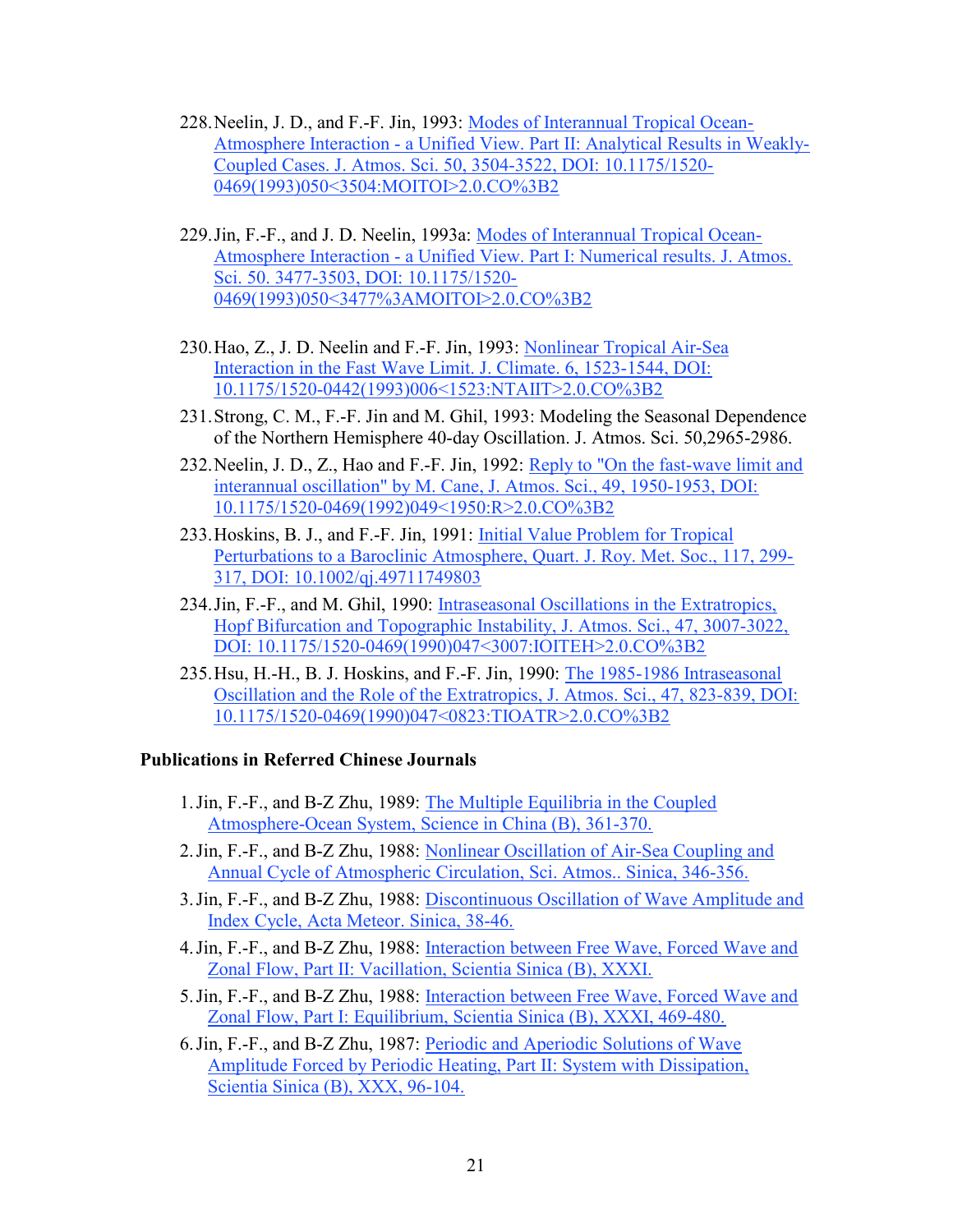- 228.Neelin, J. D., and F.-F. Jin, 1993: Modes of Interannual Tropical Ocean-Atmosphere Interaction - a Unified View. Part II: Analytical Results in Weakly-Coupled Cases. J. Atmos. Sci. 50, 3504-3522, DOI: 10.1175/1520- 0469(1993)050<3504:MOITOI>2.0.CO%3B2
- 229.Jin, F.-F., and J. D. Neelin, 1993a: Modes of Interannual Tropical Ocean-Atmosphere Interaction - a Unified View. Part I: Numerical results. J. Atmos. Sci. 50. 3477-3503, DOI: 10.1175/1520- 0469(1993)050<3477%3AMOITOI>2.0.CO%3B2
- 230.Hao, Z., J. D. Neelin and F.-F. Jin, 1993: Nonlinear Tropical Air-Sea Interaction in the Fast Wave Limit. J. Climate. 6, 1523-1544, DOI: 10.1175/1520-0442(1993)006<1523:NTAIIT>2.0.CO%3B2
- 231.Strong, C. M., F.-F. Jin and M. Ghil, 1993: Modeling the Seasonal Dependence of the Northern Hemisphere 40-day Oscillation. J. Atmos. Sci. 50,2965-2986.
- 232.Neelin, J. D., Z., Hao and F.-F. Jin, 1992: Reply to "On the fast-wave limit and interannual oscillation" by M. Cane, J. Atmos. Sci., 49, 1950-1953, DOI: 10.1175/1520-0469(1992)049<1950:R>2.0.CO%3B2
- 233.Hoskins, B. J., and F.-F. Jin, 1991: Initial Value Problem for Tropical Perturbations to a Baroclinic Atmosphere, Quart. J. Roy. Met. Soc., 117, 299- 317, DOI: 10.1002/qj.49711749803
- 234.Jin, F.-F., and M. Ghil, 1990: Intraseasonal Oscillations in the Extratropics, Hopf Bifurcation and Topographic Instability, J. Atmos. Sci., 47, 3007-3022, DOI: 10.1175/1520-0469(1990)047<3007:IOITEH>2.0.CO%3B2
- 235.Hsu, H.-H., B. J. Hoskins, and F.-F. Jin, 1990: The 1985-1986 Intraseasonal Oscillation and the Role of the Extratropics, J. Atmos. Sci., 47, 823-839, DOI: 10.1175/1520-0469(1990)047<0823:TIOATR>2.0.CO%3B2

#### Publications in Referred Chinese Journals

- 1.Jin, F.-F., and B-Z Zhu, 1989: The Multiple Equilibria in the Coupled Atmosphere-Ocean System, Science in China (B), 361-370.
- 2.Jin, F.-F., and B-Z Zhu, 1988: Nonlinear Oscillation of Air-Sea Coupling and Annual Cycle of Atmospheric Circulation, Sci. Atmos.. Sinica, 346-356.
- 3.Jin, F.-F., and B-Z Zhu, 1988: Discontinuous Oscillation of Wave Amplitude and Index Cycle, Acta Meteor. Sinica, 38-46.
- 4.Jin, F.-F., and B-Z Zhu, 1988: Interaction between Free Wave, Forced Wave and Zonal Flow, Part II: Vacillation, Scientia Sinica (B), XXXI.
- 5.Jin, F.-F., and B-Z Zhu, 1988: Interaction between Free Wave, Forced Wave and Zonal Flow, Part I: Equilibrium, Scientia Sinica (B), XXXI, 469-480.
- 6.Jin, F.-F., and B-Z Zhu, 1987: Periodic and Aperiodic Solutions of Wave Amplitude Forced by Periodic Heating, Part II: System with Dissipation, Scientia Sinica (B), XXX, 96-104.